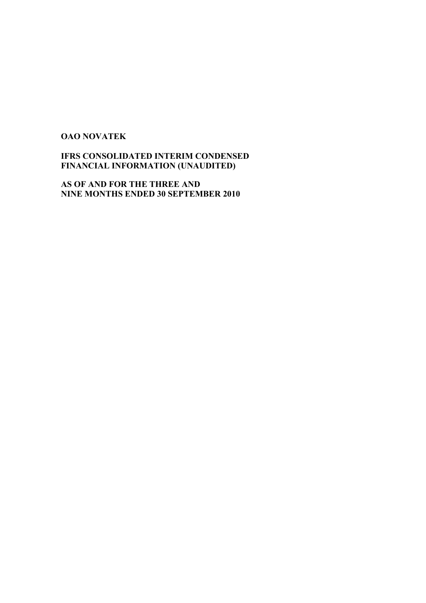# **OAO NOVATEK**

# **IFRS CONSOLIDATED INTERIM CONDENSED FINANCIAL INFORMATION (UNAUDITED)**

**AS OF AND FOR THE THREE AND NINE MONTHS ENDED 30 SEPTEMBER 2010**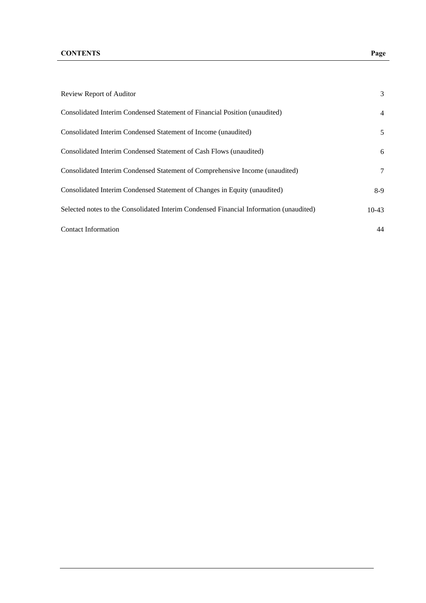| Review Report of Auditor                                                               | 3              |
|----------------------------------------------------------------------------------------|----------------|
| Consolidated Interim Condensed Statement of Financial Position (unaudited)             | $\overline{4}$ |
| Consolidated Interim Condensed Statement of Income (unaudited)                         | 5              |
| Consolidated Interim Condensed Statement of Cash Flows (unaudited)                     | 6              |
| Consolidated Interim Condensed Statement of Comprehensive Income (unaudited)           | 7              |
| Consolidated Interim Condensed Statement of Changes in Equity (unaudited)              | $8-9$          |
| Selected notes to the Consolidated Interim Condensed Financial Information (unaudited) | $10-43$        |
| Contact Information                                                                    | 44             |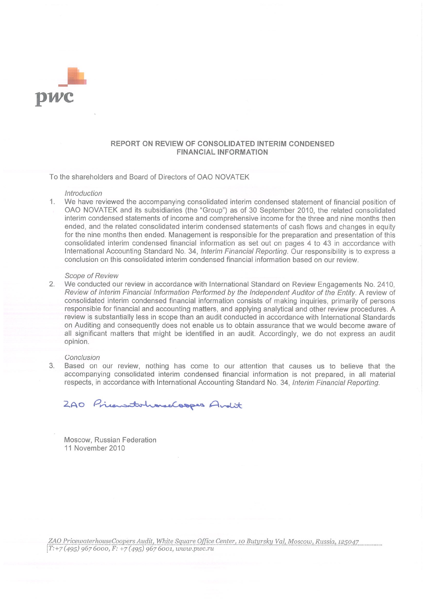

#### REPORT ON REVIEW OF CONSOLIDATED INTERIM CONDENSED **FINANCIAL INFORMATION**

To the shareholders and Board of Directors of OAO NOVATEK

#### Introduction

 $1<sup>1</sup>$ We have reviewed the accompanying consolidated interim condensed statement of financial position of OAO NOVATEK and its subsidiaries (the "Group") as of 30 September 2010, the related consolidated interim condensed statements of income and comprehensive income for the three and nine months then ended, and the related consolidated interim condensed statements of cash flows and changes in equity for the nine months then ended. Management is responsible for the preparation and presentation of this consolidated interim condensed financial information as set out on pages 4 to 43 in accordance with International Accounting Standard No. 34, Interim Financial Reporting. Our responsibility is to express a conclusion on this consolidated interim condensed financial information based on our review.

#### Scope of Review

2. We conducted our review in accordance with International Standard on Review Engagements No. 2410. Review of Interim Financial Information Performed by the Independent Auditor of the Entity. A review of consolidated interim condensed financial information consists of making inquiries, primarily of persons responsible for financial and accounting matters, and applying analytical and other review procedures. A review is substantially less in scope than an audit conducted in accordance with International Standards on Auditing and consequently does not enable us to obtain assurance that we would become aware of all significant matters that might be identified in an audit. Accordingly, we do not express an audit opinion.

#### Conclusion

3. Based on our review, nothing has come to our attention that causes us to believe that the accompanying consolidated interim condensed financial information is not prepared, in all material respects, in accordance with International Accounting Standard No. 34, Interim Financial Reporting.

200 Priensitationselsopes Andit

Moscow, Russian Federation 11 November 2010

ZAO PricewaterhouseCoopers Audit, White Square Office Center, 10 Butyrsky Val, Moscow, Russia, 125047  $[T+7(495)9676000, F+7(495)9676001, www.pwc.ru$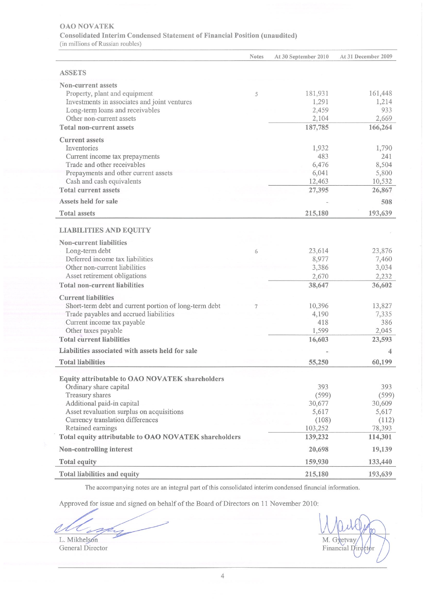#### **OAO NOVATEK**

Consolidated Interim Condensed Statement of Financial Position (unaudited)

(in millions of Russian roubles)

|                                                       | <b>Notes</b> | At 30 September 2010 | At 31 December 2009 |
|-------------------------------------------------------|--------------|----------------------|---------------------|
| <b>ASSETS</b>                                         |              |                      |                     |
| <b>Non-current assets</b>                             |              |                      |                     |
| Property, plant and equipment                         | 5            | 181,931              | 161,448             |
| Investments in associates and joint ventures          |              | 1,291                | 1,214               |
| Long-term loans and receivables                       |              | 2,459                | 933                 |
| Other non-current assets                              |              | 2,104                | 2,669               |
| <b>Total non-current assets</b>                       |              | 187,785              | 166,264             |
| <b>Current</b> assets                                 |              |                      |                     |
| Inventories                                           |              | 1,932                | 1,790               |
| Current income tax prepayments                        |              | 483                  | 241                 |
| Trade and other receivables                           |              | 6,476                | 8,504               |
| Prepayments and other current assets                  |              | 6,041                | 5,800               |
| Cash and cash equivalents                             |              | 12,463               | 10,532              |
| <b>Total current assets</b>                           |              | 27,395               | 26,867              |
| <b>Assets held for sale</b>                           |              |                      | 508                 |
| <b>Total assets</b>                                   |              | 215,180              | 193,639             |
| <b>LIABILITIES AND EQUITY</b>                         |              |                      |                     |
| <b>Non-current liabilities</b>                        |              |                      |                     |
| Long-term debt                                        | 6            | 23,614               | 23,876              |
| Deferred income tax liabilities                       |              | 8,977                | 7,460               |
| Other non-current liabilities                         |              | 3,386                | 3,034               |
| Asset retirement obligations                          |              | 2,670                | 2,232               |
| <b>Total non-current liabilities</b>                  |              | 38,647               | 36,602              |
| <b>Current liabilities</b>                            |              |                      |                     |
| Short-term debt and current portion of long-term debt |              | 10,396               | 13,827              |
| Trade payables and accrued liabilities                |              | 4,190                | 7,335               |
| Current income tax payable                            |              | 418                  | 386                 |
| Other taxes payable                                   |              | 1,599                | 2,045               |
| <b>Total current liabilities</b>                      |              | 16,603               | 23,593              |
| Liabilities associated with assets held for sale      |              |                      | 4                   |
| <b>Total liabilities</b>                              |              | 55,250               | 60,199              |
| Equity attributable to OAO NOVATEK shareholders       |              |                      |                     |
| Ordinary share capital                                |              | 393                  | 393                 |
| Treasury shares                                       |              | (599)                | (599)               |
| Additional paid-in capital                            |              | 30,677               | 30,609              |
| Asset revaluation surplus on acquisitions             |              | 5,617                | 5,617               |
| Currency translation differences                      |              | (108)                | (112)               |
| Retained earnings                                     |              | 103,252              | 78,393              |
| Total equity attributable to OAO NOVATEK shareholders |              | 139,232              | 114,301             |
| Non-controlling interest                              |              | 20,698               | 19,139              |
| <b>Total equity</b>                                   |              | 159,930              | 133,440             |
| Total liabilities and equity                          |              | 215,180              | 193,639             |

The accompanying notes are an integral part of this consolidated interim condensed financial information.

Approved for issue and signed on behalf of the Board of Directors on 11 November 2010:

L. Mikhelson

General Director

M. Gyetvay  $\epsilon$ t $\phi$ r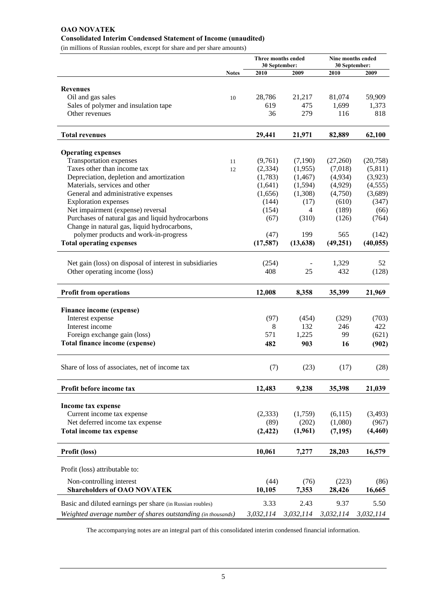# **OAO NOVATEK Consolidated Interim Condensed Statement of Income (unaudited)**

(in millions of Russian roubles, except for share and per share amounts)

|                                                              |              | Three months ended<br>30 September: |                |           | Nine months ended<br>30 September: |  |  |
|--------------------------------------------------------------|--------------|-------------------------------------|----------------|-----------|------------------------------------|--|--|
|                                                              | <b>Notes</b> | 2010                                | 2009           | 2010      | 2009                               |  |  |
|                                                              |              |                                     |                |           |                                    |  |  |
| <b>Revenues</b>                                              |              |                                     |                |           |                                    |  |  |
| Oil and gas sales                                            | 10           | 28,786                              | 21,217         | 81,074    | 59,909                             |  |  |
| Sales of polymer and insulation tape                         |              | 619                                 | 475            | 1,699     | 1,373                              |  |  |
| Other revenues                                               |              | 36                                  | 279            | 116       | 818                                |  |  |
| <b>Total revenues</b>                                        |              | 29,441                              | 21,971         | 82,889    | 62,100                             |  |  |
|                                                              |              |                                     |                |           |                                    |  |  |
| <b>Operating expenses</b>                                    |              |                                     |                |           |                                    |  |  |
| Transportation expenses                                      | 11           | (9,761)                             | (7,190)        | (27,260)  | (20,758)                           |  |  |
| Taxes other than income tax                                  | 12           | (2, 334)                            | (1,955)        | (7,018)   | (5,811)                            |  |  |
| Depreciation, depletion and amortization                     |              | (1,783)                             | (1, 467)       | (4,934)   | (3,923)                            |  |  |
| Materials, services and other                                |              | (1,641)                             | (1,594)        | (4,929)   | (4, 555)                           |  |  |
| General and administrative expenses                          |              | (1,656)                             | (1,308)        | (4,750)   | (3,689)                            |  |  |
| <b>Exploration expenses</b>                                  |              | (144)                               | (17)           | (610)     | (347)                              |  |  |
| Net impairment (expense) reversal                            |              | (154)                               | $\overline{4}$ | (189)     | (66)                               |  |  |
| Purchases of natural gas and liquid hydrocarbons             |              | (67)                                | (310)          | (126)     | (764)                              |  |  |
| Change in natural gas, liquid hydrocarbons,                  |              |                                     |                |           |                                    |  |  |
| polymer products and work-in-progress                        |              | (47)                                | 199            | 565       | (142)                              |  |  |
| <b>Total operating expenses</b>                              |              | (17,587)                            | (13, 638)      | (49, 251) | (40, 055)                          |  |  |
|                                                              |              |                                     |                |           |                                    |  |  |
| Net gain (loss) on disposal of interest in subsidiaries      |              | (254)                               |                | 1,329     | 52                                 |  |  |
| Other operating income (loss)                                |              | 408                                 | 25             | 432       | (128)                              |  |  |
| <b>Profit from operations</b>                                |              | 12,008                              | 8,358          | 35,399    | 21,969                             |  |  |
| Finance income (expense)                                     |              |                                     |                |           |                                    |  |  |
| Interest expense                                             |              | (97)                                | (454)          | (329)     | (703)                              |  |  |
| Interest income                                              |              | 8                                   | 132            | 246       | 422                                |  |  |
| Foreign exchange gain (loss)                                 |              | 571                                 | 1,225          | 99        | (621)                              |  |  |
| Total finance income (expense)                               |              | 482                                 | 903            |           |                                    |  |  |
|                                                              |              |                                     |                | 16        | (902)                              |  |  |
| Share of loss of associates, net of income tax               |              | (7)                                 | (23)           | (17)      | (28)                               |  |  |
| Profit before income tax                                     |              | 12,483                              | 9,238          | 35,398    | 21,039                             |  |  |
|                                                              |              |                                     |                |           |                                    |  |  |
| Income tax expense                                           |              |                                     |                |           |                                    |  |  |
| Current income tax expense                                   |              | (2, 333)                            | (1,759)        | (6,115)   | (3,493)                            |  |  |
| Net deferred income tax expense                              |              | (89)                                | (202)          | (1,080)   | (967)                              |  |  |
| Total income tax expense                                     |              | (2, 422)                            | (1,961)        | (7, 195)  | (4, 460)                           |  |  |
| Profit (loss)                                                |              | 10,061                              | 7,277          | 28,203    | 16,579                             |  |  |
| Profit (loss) attributable to:                               |              |                                     |                |           |                                    |  |  |
|                                                              |              |                                     |                |           |                                    |  |  |
| Non-controlling interest                                     |              | (44)                                | (76)           | (223)     | (86)                               |  |  |
| <b>Shareholders of OAO NOVATEK</b>                           |              | 10,105                              | 7,353          | 28,426    | 16,665                             |  |  |
| Basic and diluted earnings per share (in Russian roubles)    |              | 3.33                                | 2.43           | 9.37      | 5.50                               |  |  |
| Weighted average number of shares outstanding (in thousands) |              | 3,032,114                           | 3,032,114      | 3,032,114 | 3,032,114                          |  |  |
|                                                              |              |                                     |                |           |                                    |  |  |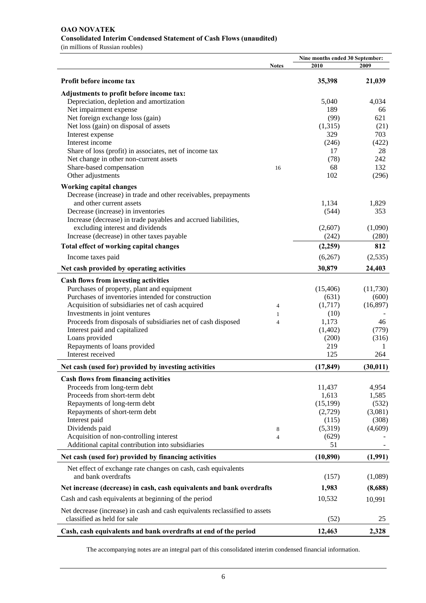# **OAO NOVATEK Consolidated Interim Condensed Statement of Cash Flows (unaudited)**

(in millions of Russian roubles)

|                                                                                                            |                | Nine months ended 30 September: |           |
|------------------------------------------------------------------------------------------------------------|----------------|---------------------------------|-----------|
|                                                                                                            | <b>Notes</b>   | 2010                            | 2009      |
| Profit before income tax                                                                                   |                | 35,398                          | 21,039    |
| Adjustments to profit before income tax:                                                                   |                |                                 |           |
| Depreciation, depletion and amortization                                                                   |                | 5,040                           | 4,034     |
| Net impairment expense                                                                                     |                | 189                             | 66        |
| Net foreign exchange loss (gain)                                                                           |                | (99)                            | 621       |
| Net loss (gain) on disposal of assets                                                                      |                | (1,315)                         | (21)      |
| Interest expense                                                                                           |                | 329                             | 703       |
| Interest income                                                                                            |                | (246)                           | (422)     |
| Share of loss (profit) in associates, net of income tax                                                    |                | 17                              | 28        |
| Net change in other non-current assets                                                                     |                | (78)                            | 242       |
| Share-based compensation                                                                                   | 16             | 68                              | 132       |
| Other adjustments                                                                                          |                | 102                             | (296)     |
| <b>Working capital changes</b>                                                                             |                |                                 |           |
| Decrease (increase) in trade and other receivables, prepayments                                            |                |                                 |           |
| and other current assets                                                                                   |                | 1,134                           | 1,829     |
| Decrease (increase) in inventories                                                                         |                | (544)                           | 353       |
| Increase (decrease) in trade payables and accrued liabilities,                                             |                |                                 |           |
| excluding interest and dividends                                                                           |                | (2,607)                         | (1,090)   |
| Increase (decrease) in other taxes payable                                                                 |                | (242)                           | (280)     |
| Total effect of working capital changes                                                                    |                | (2,259)                         | 812       |
| Income taxes paid                                                                                          |                | (6,267)                         | (2,535)   |
| Net cash provided by operating activities                                                                  |                | 30,879                          | 24,403    |
| <b>Cash flows from investing activities</b>                                                                |                |                                 |           |
| Purchases of property, plant and equipment                                                                 |                | (15, 406)                       | (11,730)  |
| Purchases of inventories intended for construction                                                         |                | (631)                           | (600)     |
| Acquisition of subsidiaries net of cash acquired                                                           | 4              | (1,717)                         | (16, 897) |
| Investments in joint ventures                                                                              | $\mathbf{1}$   | (10)                            |           |
| Proceeds from disposals of subsidiaries net of cash disposed                                               | $\overline{4}$ | 1,173                           | 46        |
| Interest paid and capitalized                                                                              |                | (1,402)                         | (779)     |
| Loans provided                                                                                             |                | (200)                           | (316)     |
| Repayments of loans provided                                                                               |                | 219                             | 1         |
| Interest received                                                                                          |                | 125                             | 264       |
| Net cash (used for) provided by investing activities                                                       |                | (17, 849)                       | (30, 011) |
| <b>Cash flows from financing activities</b>                                                                |                |                                 |           |
| Proceeds from long-term debt                                                                               |                | 11,437                          | 4,954     |
| Proceeds from short-term debt                                                                              |                | 1,613                           | 1,585     |
| Repayments of long-term debt                                                                               |                | (15, 199)                       | (532)     |
| Repayments of short-term debt                                                                              |                | (2,729)                         | (3,081)   |
| Interest paid                                                                                              |                | (115)                           | (308)     |
| Dividends paid                                                                                             | 8              | (5,319)                         | (4,609)   |
| Acquisition of non-controlling interest                                                                    | $\overline{4}$ | (629)                           |           |
| Additional capital contribution into subsidiaries                                                          |                | 51                              |           |
| Net cash (used for) provided by financing activities                                                       |                | (10, 890)                       | (1,991)   |
|                                                                                                            |                |                                 |           |
| Net effect of exchange rate changes on cash, cash equivalents<br>and bank overdrafts                       |                | (157)                           | (1,089)   |
| Net increase (decrease) in cash, cash equivalents and bank overdrafts                                      |                | 1,983                           | (8,688)   |
| Cash and cash equivalents at beginning of the period                                                       |                | 10,532                          | 10,991    |
| Net decrease (increase) in cash and cash equivalents reclassified to assets<br>classified as held for sale |                | (52)                            | 25        |
|                                                                                                            |                |                                 |           |
| Cash, cash equivalents and bank overdrafts at end of the period                                            |                | 12,463                          | 2,328     |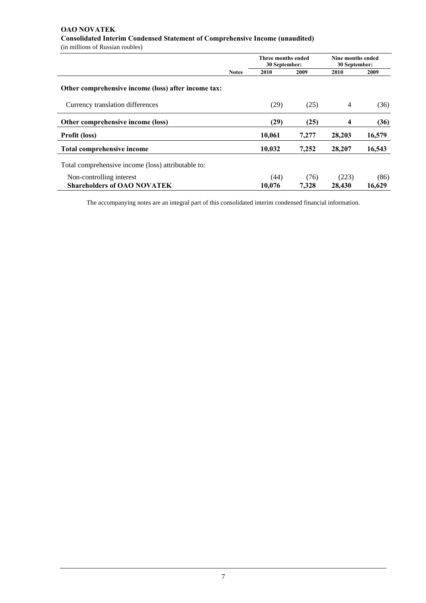# **OAO NOVATEK Consolidated Interim Condensed Statement of Comprehensive Income (unaudited)**

(in millions of Russian roubles)

|                                                     |              | Three months ended<br>30 September: |       | Nine months ended<br>30 September: |        |  |
|-----------------------------------------------------|--------------|-------------------------------------|-------|------------------------------------|--------|--|
|                                                     | <b>Notes</b> | 2010                                | 2009  | 2010                               | 2009   |  |
| Other comprehensive income (loss) after income tax: |              |                                     |       |                                    |        |  |
| Currency translation differences                    |              | (29)                                | (25)  | 4                                  | (36)   |  |
| Other comprehensive income (loss)                   |              | (29)                                | (25)  | 4                                  | (36)   |  |
| <b>Profit (loss)</b>                                |              | 10,061                              | 7,277 | 28,203                             | 16,579 |  |
| Total comprehensive income                          |              | 10,032                              | 7,252 | 28,207                             | 16,543 |  |
| Total comprehensive income (loss) attributable to:  |              |                                     |       |                                    |        |  |
| Non-controlling interest                            |              | (44)                                | (76)  | (223)                              | (86)   |  |
| <b>Shareholders of OAO NOVATEK</b>                  |              | 10.076                              | 7.328 | 28,430                             | 16.629 |  |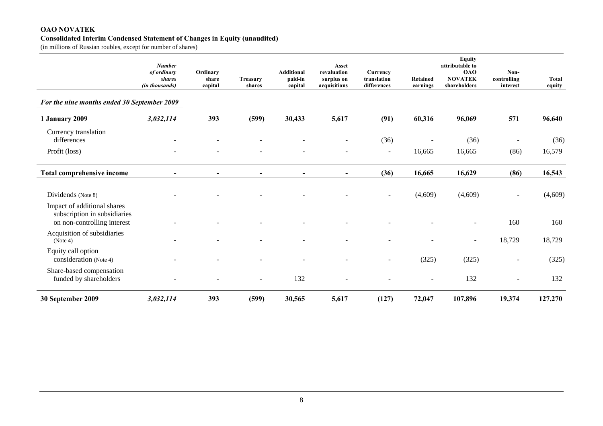#### **OAO NOVATEK Consolidated Interim Condensed Statement of Changes in Equity (unaudited)**

(in millions of Russian roubles, except for number of shares)

|                                                                                            | <b>Number</b><br>of ordinary<br><b>shares</b><br>(in thousands) | Ordinary<br>share<br>capital | <b>Treasury</b><br>shares | <b>Additional</b><br>paid-in<br>capital | Asset<br>revaluation<br>surplus on<br>acquisitions | Currency<br>translation<br>differences | Retained<br>earnings | Equity<br>attributable to<br><b>OAO</b><br><b>NOVATEK</b><br>shareholders | Non-<br>controlling<br>interest | <b>Total</b><br>equity |
|--------------------------------------------------------------------------------------------|-----------------------------------------------------------------|------------------------------|---------------------------|-----------------------------------------|----------------------------------------------------|----------------------------------------|----------------------|---------------------------------------------------------------------------|---------------------------------|------------------------|
| For the nine months ended 30 September 2009                                                |                                                                 |                              |                           |                                         |                                                    |                                        |                      |                                                                           |                                 |                        |
| 1 January 2009                                                                             | 3,032,114                                                       | 393                          | (599)                     | 30,433                                  | 5,617                                              | (91)                                   | 60,316               | 96,069                                                                    | 571                             | 96,640                 |
| Currency translation<br>differences<br>Profit (loss)                                       |                                                                 |                              |                           |                                         |                                                    | (36)<br>$\overline{\phantom{a}}$       | 16,665               | (36)<br>16,665                                                            | (86)                            | (36)<br>16,579         |
| Total comprehensive income                                                                 |                                                                 | $\overline{\phantom{0}}$     |                           |                                         | $\blacksquare$                                     | (36)                                   | 16,665               | 16,629                                                                    | (86)                            | 16,543                 |
| Dividends (Note 8)                                                                         |                                                                 |                              |                           |                                         |                                                    |                                        | (4,609)              | (4,609)                                                                   |                                 | (4,609)                |
| Impact of additional shares<br>subscription in subsidiaries<br>on non-controlling interest |                                                                 |                              |                           |                                         |                                                    |                                        |                      |                                                                           | 160                             | 160                    |
| Acquisition of subsidiaries<br>(Note 4)                                                    |                                                                 |                              |                           |                                         |                                                    |                                        |                      | $\blacksquare$                                                            | 18,729                          | 18,729                 |
| Equity call option<br>consideration (Note 4)                                               |                                                                 |                              |                           |                                         |                                                    |                                        | (325)                | (325)                                                                     |                                 | (325)                  |
| Share-based compensation<br>funded by shareholders                                         |                                                                 |                              |                           | 132                                     |                                                    |                                        |                      | 132                                                                       |                                 | 132                    |
| 30 September 2009                                                                          | 3,032,114                                                       | 393                          | (599)                     | 30,565                                  | 5,617                                              | (127)                                  | 72,047               | 107,896                                                                   | 19,374                          | 127,270                |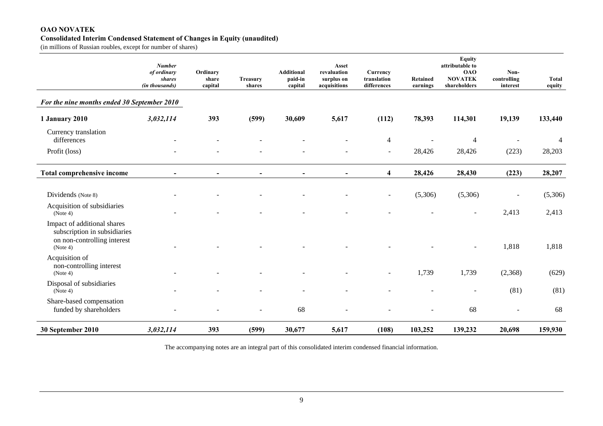#### **OAO NOVATEK Consolidated Interim Condensed Statement of Changes in Equity (unaudited)**

(in millions of Russian roubles, except for number of shares)

|                                                                                                        | <b>Number</b><br>of ordinary<br>shares<br>(in thousands) | Ordinary<br>share<br>capital | <b>Treasury</b><br>shares | <b>Additional</b><br>paid-in<br>capital | Asset<br>revaluation<br>surplus on<br>acquisitions | Currency<br>translation<br>differences | <b>Retained</b><br>earnings | <b>Equity</b><br>attributable to<br><b>OAO</b><br><b>NOVATEK</b><br>shareholders | Non-<br>controlling<br>interest | <b>Total</b><br>equity |
|--------------------------------------------------------------------------------------------------------|----------------------------------------------------------|------------------------------|---------------------------|-----------------------------------------|----------------------------------------------------|----------------------------------------|-----------------------------|----------------------------------------------------------------------------------|---------------------------------|------------------------|
| For the nine months ended 30 September 2010                                                            |                                                          |                              |                           |                                         |                                                    |                                        |                             |                                                                                  |                                 |                        |
| <b>1 January 2010</b>                                                                                  | 3,032,114                                                | 393                          | (599)                     | 30,609                                  | 5,617                                              | (112)                                  | 78,393                      | 114,301                                                                          | 19,139                          | 133,440                |
| Currency translation<br>differences                                                                    |                                                          |                              |                           |                                         |                                                    | $\overline{4}$                         |                             | $\overline{4}$                                                                   |                                 | $\overline{4}$         |
| Profit (loss)                                                                                          |                                                          |                              |                           |                                         |                                                    | $\overline{\phantom{a}}$               | 28,426                      | 28,426                                                                           | (223)                           | 28,203                 |
| <b>Total comprehensive income</b>                                                                      |                                                          |                              |                           |                                         |                                                    | $\overline{\mathbf{4}}$                | 28,426                      | 28,430                                                                           | (223)                           | 28,207                 |
| Dividends (Note 8)                                                                                     |                                                          |                              |                           |                                         |                                                    | $\sim$                                 | (5,306)                     | (5,306)                                                                          | $\overline{\phantom{a}}$        | (5,306)                |
| Acquisition of subsidiaries<br>(Note 4)                                                                |                                                          |                              |                           |                                         |                                                    |                                        |                             | $\blacksquare$                                                                   | 2,413                           | 2,413                  |
| Impact of additional shares<br>subscription in subsidiaries<br>on non-controlling interest<br>(Note 4) |                                                          |                              |                           |                                         |                                                    |                                        |                             |                                                                                  | 1,818                           | 1,818                  |
| Acquisition of<br>non-controlling interest<br>(Note 4)                                                 |                                                          |                              |                           |                                         |                                                    | $\overline{\phantom{a}}$               | 1,739                       | 1,739                                                                            | (2,368)                         | (629)                  |
| Disposal of subsidiaries<br>(Note 4)                                                                   |                                                          |                              |                           |                                         |                                                    |                                        |                             |                                                                                  | (81)                            | (81)                   |
| Share-based compensation<br>funded by shareholders                                                     |                                                          |                              |                           | 68                                      |                                                    |                                        |                             | 68                                                                               |                                 | 68                     |
| 30 September 2010                                                                                      | 3,032,114                                                | 393                          | (599)                     | 30,677                                  | 5,617                                              | (108)                                  | 103,252                     | 139,232                                                                          | 20,698                          | 159,930                |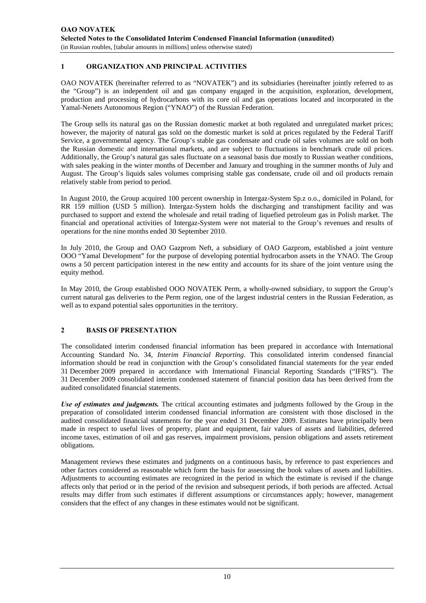## **1 ORGANIZATION AND PRINCIPAL ACTIVITIES**

OAO NOVATEK (hereinafter referred to as "NOVATEK") and its subsidiaries (hereinafter jointly referred to as the "Group") is an independent oil and gas company engaged in the acquisition, exploration, development, production and processing of hydrocarbons with its core oil and gas operations located and incorporated in the Yamal-Nenets Autonomous Region ("YNAO") of the Russian Federation.

The Group sells its natural gas on the Russian domestic market at both regulated and unregulated market prices; however, the majority of natural gas sold on the domestic market is sold at prices regulated by the Federal Tariff Service, a governmental agency. The Group's stable gas condensate and crude oil sales volumes are sold on both the Russian domestic and international markets, and are subject to fluctuations in benchmark crude oil prices. Additionally, the Group's natural gas sales fluctuate on a seasonal basis due mostly to Russian weather conditions, with sales peaking in the winter months of December and January and troughing in the summer months of July and August. The Group's liquids sales volumes comprising stable gas condensate, crude oil and oil products remain relatively stable from period to period.

In August 2010, the Group acquired 100 percent ownership in Intergaz-System Sp.z o.o., domiciled in Poland, for RR 159 million (USD 5 million). Intergaz-System holds the discharging and transhipment facility and was purchased to support and extend the wholesale and retail trading of liquefied petroleum gas in Polish market. The financial and operational activities of Intergaz-System were not material to the Group's revenues and results of operations for the nine months ended 30 September 2010.

In July 2010, the Group and OAO Gazprom Neft, a subsidiary of OAO Gazprom, established a joint venture OOO "Yamal Development" for the purpose of developing potential hydrocarbon assets in the YNAO. The Group owns a 50 percent participation interest in the new entity and accounts for its share of the joint venture using the equity method.

In May 2010, the Group established OOO NOVATEK Perm, a wholly-owned subsidiary, to support the Group's current natural gas deliveries to the Perm region, one of the largest industrial centers in the Russian Federation, as well as to expand potential sales opportunities in the territory.

## **2 BASIS OF PRESENTATION**

The consolidated interim condensed financial information has been prepared in accordance with International Accounting Standard No. 34, *Interim Financial Reporting*. This consolidated interim condensed financial information should be read in conjunction with the Group's consolidated financial statements for the year ended 31 December 2009 prepared in accordance with International Financial Reporting Standards ("IFRS"). The 31 December 2009 consolidated interim condensed statement of financial position data has been derived from the audited consolidated financial statements.

*Use of estimates and judgments.* The critical accounting estimates and judgments followed by the Group in the preparation of consolidated interim condensed financial information are consistent with those disclosed in the audited consolidated financial statements for the year ended 31 December 2009. Estimates have principally been made in respect to useful lives of property, plant and equipment, fair values of assets and liabilities, deferred income taxes, estimation of oil and gas reserves, impairment provisions, pension obligations and assets retirement obligations.

Management reviews these estimates and judgments on a continuous basis, by reference to past experiences and other factors considered as reasonable which form the basis for assessing the book values of assets and liabilities. Adjustments to accounting estimates are recognized in the period in which the estimate is revised if the change affects only that period or in the period of the revision and subsequent periods, if both periods are affected. Actual results may differ from such estimates if different assumptions or circumstances apply; however, management considers that the effect of any changes in these estimates would not be significant.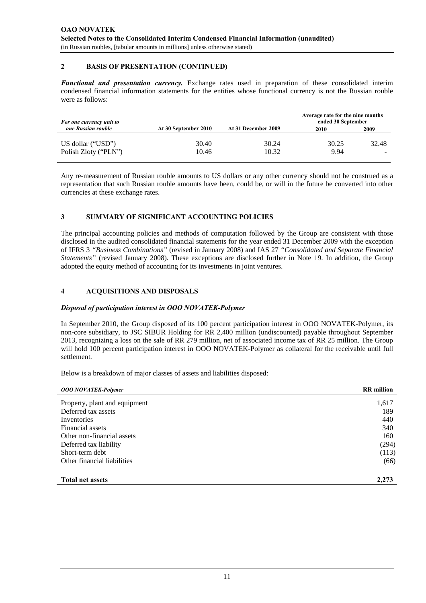#### **2 BASIS OF PRESENTATION (CONTINUED)**

*Functional and presentation currency.* Exchange rates used in preparation of these consolidated interim condensed financial information statements for the entities whose functional currency is not the Russian rouble were as follows:

| For one currency unit to                  |                      |                     | Average rate for the nine months<br>ended 30 September |       |
|-------------------------------------------|----------------------|---------------------|--------------------------------------------------------|-------|
| one Russian rouble                        | At 30 September 2010 | At 31 December 2009 | 2010                                                   | 2009  |
| US dollar ("USD")<br>Polish Zloty ("PLN") | 30.40<br>10.46       | 30.24<br>10.32      | 30.25<br>9.94                                          | 32.48 |

Any re-measurement of Russian rouble amounts to US dollars or any other currency should not be construed as a representation that such Russian rouble amounts have been, could be, or will in the future be converted into other currencies at these exchange rates.

#### **3 SUMMARY OF SIGNIFICANT ACCOUNTING POLICIES**

The principal accounting policies and methods of computation followed by the Group are consistent with those disclosed in the audited consolidated financial statements for the year ended 31 December 2009 with the exception of IFRS 3 *"Business Combinations"* (revised in January 2008) and IAS 27 *"Consolidated and Separate Financial Statements"* (revised January 2008). These exceptions are disclosed further in Note 19. In addition, the Group adopted the equity method of accounting for its investments in joint ventures.

#### **4 ACQUISITIONS AND DISPOSALS**

#### *Disposal of participation interest in OOO NOVATEK-Polymer*

In September 2010, the Group disposed of its 100 percent participation interest in OOO NOVATEK-Polymer, its non-core subsidiary, to JSC SIBUR Holding for RR 2,400 million (undiscounted) payable throughout September 2013, recognizing a loss on the sale of RR 279 million, net of associated income tax of RR 25 million. The Group will hold 100 percent participation interest in OOO NOVATEK-Polymer as collateral for the receivable until full settlement.

Below is a breakdown of major classes of assets and liabilities disposed:

| <b>OOO NOVATEK-Polymer</b>    | <b>RR</b> million |
|-------------------------------|-------------------|
|                               |                   |
| Property, plant and equipment | 1,617             |
| Deferred tax assets           | 189               |
| Inventories                   | 440               |
| Financial assets              | 340               |
| Other non-financial assets    | 160               |
| Deferred tax liability        | (294)             |
| Short-term debt               | (113)             |
| Other financial liabilities   | (66)              |
| <b>Total net assets</b>       | 2.273             |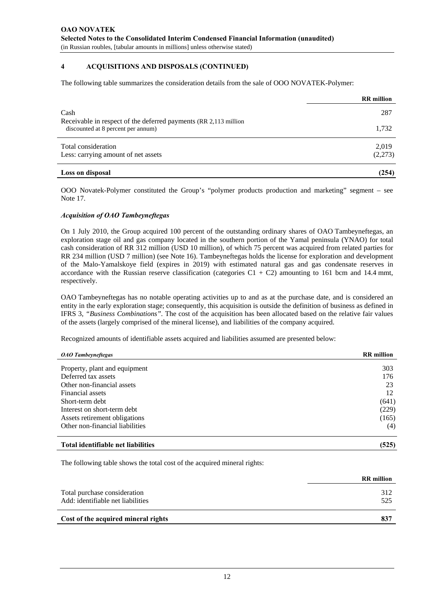The following table summarizes the consideration details from the sale of OOO NOVATEK-Polymer:

|                                                                                                         | <b>RR</b> million |
|---------------------------------------------------------------------------------------------------------|-------------------|
| Cash                                                                                                    | 287               |
| Receivable in respect of the deferred payments (RR 2,113 million)<br>discounted at 8 percent per annum) | 1,732             |
| Total consideration<br>Less: carrying amount of net assets                                              | 2,019<br>(2,273)  |
| Loss on disposal                                                                                        | (254)             |

OOO Novatek-Polymer constituted the Group's "polymer products production and marketing" segment – see Note 17.

#### *Acquisition of OAO Tambeyneftegas*

On 1 July 2010, the Group acquired 100 percent of the outstanding ordinary shares of OAO Tambeyneftegas, an exploration stage oil and gas company located in the southern portion of the Yamal peninsula (YNAO) for total cash consideration of RR 312 million (USD 10 million), of which 75 percent was acquired from related parties for RR 234 million (USD 7 million) (see Note 16). Tambeyneftegas holds the license for exploration and development of the Malo-Yamalskoye field (expires in 2019) with estimated natural gas and gas condensate reserves in accordance with the Russian reserve classification (categories  $C1 + C2$ ) amounting to 161 bcm and 14.4 mmt, respectively.

OAO Tambeyneftegas has no notable operating activities up to and as at the purchase date, and is considered an entity in the early exploration stage; consequently, this acquisition is outside the definition of business as defined in IFRS 3, *"Business Combinations".* The cost of the acquisition has been allocated based on the relative fair values of the assets (largely comprised of the mineral license), and liabilities of the company acquired.

Recognized amounts of identifiable assets acquired and liabilities assumed are presented below:

| <b>OAO</b> Tambeyneftegas          | <b>RR</b> million |
|------------------------------------|-------------------|
|                                    |                   |
| Property, plant and equipment      | 303               |
| Deferred tax assets                | 176               |
| Other non-financial assets         | 23                |
| Financial assets                   | 12                |
| Short-term debt                    | (641)             |
| Interest on short-term debt        | (229)             |
| Assets retirement obligations      | (165)             |
| Other non-financial liabilities    | (4)               |
| Total identifiable net liabilities | (525)             |

The following table shows the total cost of the acquired mineral rights:

|                                                                   | <b>RR</b> million |
|-------------------------------------------------------------------|-------------------|
| Total purchase consideration<br>Add: identifiable net liabilities | 312<br>525        |
| Cost of the acquired mineral rights                               | 837               |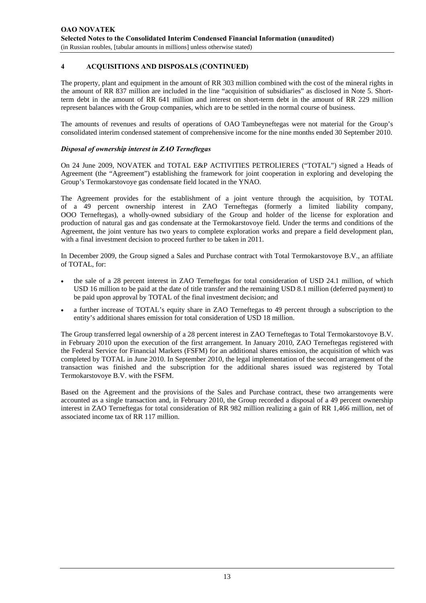The property, plant and equipment in the amount of RR 303 million combined with the cost of the mineral rights in the amount of RR 837 million are included in the line "acquisition of subsidiaries" as disclosed in Note 5. Shortterm debt in the amount of RR 641 million and interest on short-term debt in the amount of RR 229 million represent balances with the Group companies, which are to be settled in the normal course of business.

The amounts of revenues and results of operations of OAO Tambeyneftegas were not material for the Group's consolidated interim condensed statement of comprehensive income for the nine months ended 30 September 2010.

# *Disposal of ownership interest in ZAO Terneftegas*

On 24 June 2009, NOVATEK and TOTAL E&P ACTIVITIES PETROLIERES ("TOTAL") signed a Heads of Agreement (the "Agreement") establishing the framework for joint cooperation in exploring and developing the Group's Termokarstovoye gas condensate field located in the YNAO.

The Agreement provides for the establishment of a joint venture through the acquisition, by TOTAL of a 49 percent ownership interest in ZAO Terneftegas (formerly a limited liability company, OOO Terneftegas), a wholly-owned subsidiary of the Group and holder of the license for exploration and production of natural gas and gas condensate at the Termokarstovoye field. Under the terms and conditions of the Agreement, the joint venture has two years to complete exploration works and prepare a field development plan, with a final investment decision to proceed further to be taken in 2011.

In December 2009, the Group signed a Sales and Purchase contract with Total Termokarstovoye B.V., an affiliate of TOTAL, for:

- the sale of a 28 percent interest in ZAO Terneftegas for total consideration of USD 24.1 million, of which USD 16 million to be paid at the date of title transfer and the remaining USD 8.1 million (deferred payment) to be paid upon approval by TOTAL of the final investment decision; and
- a further increase of TOTAL's equity share in ZAO Terneftegas to 49 percent through a subscription to the entity's additional shares emission for total consideration of USD 18 million.

The Group transferred legal ownership of a 28 percent interest in ZAO Terneftegas to Total Termokarstovoye B.V. in February 2010 upon the execution of the first arrangement. In January 2010, ZAO Terneftegas registered with the Federal Service for Financial Markets (FSFM) for an additional shares emission, the acquisition of which was completed by TOTAL in June 2010. In September 2010, the legal implementation of the second arrangement of the transaction was finished and the subscription for the additional shares issued was registered by Total Termokarstovoye B.V. with the FSFM.

Based on the Agreement and the provisions of the Sales and Purchase contract, these two arrangements were accounted as a single transaction and, in February 2010, the Group recorded a disposal of a 49 percent ownership interest in ZAO Terneftegas for total consideration of RR 982 million realizing a gain of RR 1,466 million, net of associated income tax of RR 117 million.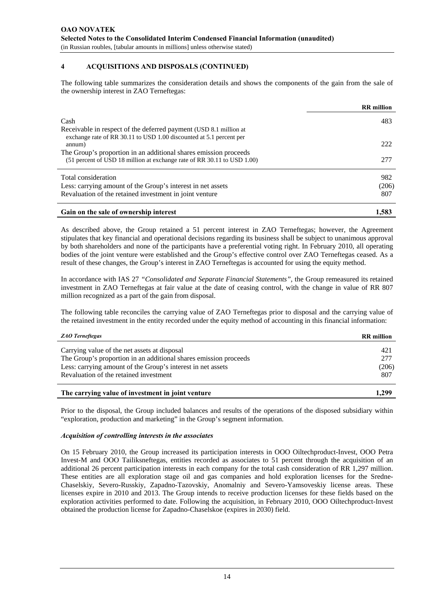The following table summarizes the consideration details and shows the components of the gain from the sale of the ownership interest in ZAO Terneftegas:

|                                                                                                                                             | <b>RR</b> million |
|---------------------------------------------------------------------------------------------------------------------------------------------|-------------------|
| Cash                                                                                                                                        | 483               |
| Receivable in respect of the deferred payment (USD 8.1 million at<br>exchange rate of RR 30.11 to USD 1.00 discounted at 5.1 percent per    |                   |
| annum)                                                                                                                                      | 222               |
| The Group's proportion in an additional shares emission proceeds<br>(51 percent of USD 18 million at exchange rate of RR 30.11 to USD 1.00) | 277               |
| Total consideration                                                                                                                         | 982               |
| Less: carrying amount of the Group's interest in net assets                                                                                 | (206)             |
| Revaluation of the retained investment in joint venture                                                                                     | 807               |
| Gain on the sale of ownership interest                                                                                                      | 1,583             |

As described above, the Group retained a 51 percent interest in ZAO Terneftegas; however, the Agreement stipulates that key financial and operational decisions regarding its business shall be subject to unanimous approval by both shareholders and none of the participants have a preferential voting right. In February 2010, all operating bodies of the joint venture were established and the Group's effective control over ZAO Terneftegas ceased. As a result of these changes, the Group's interest in ZAO Terneftegas is accounted for using the equity method.

In accordance with IAS 27 *"Consolidated and Separate Financial Statements"*, the Group remeasured its retained investment in ZAO Terneftegas at fair value at the date of ceasing control, with the change in value of RR 807 million recognized as a part of the gain from disposal.

The following table reconciles the carrying value of ZAO Terneftegas prior to disposal and the carrying value of the retained investment in the entity recorded under the equity method of accounting in this financial information:

| <b>ZAO</b> Terneftegas                                           | <b>RR</b> million |
|------------------------------------------------------------------|-------------------|
| Carrying value of the net assets at disposal                     | 421               |
| The Group's proportion in an additional shares emission proceeds | 277               |
| Less: carrying amount of the Group's interest in net assets      | (206)             |
| Revaluation of the retained investment                           | 807               |
| The carrying value of investment in joint venture                | 1.299             |

Prior to the disposal, the Group included balances and results of the operations of the disposed subsidiary within "exploration, production and marketing" in the Group's segment information.

#### *Acquisition of controlling interests in the associates*

On 15 February 2010, the Group increased its participation interests in OOO Oiltechproduct-Invest, OOO Petra Invest-M and OOO Tailiksneftegas, entities recorded as associates to 51 percent through the acquisition of an additional 26 percent participation interests in each company for the total cash consideration of RR 1,297 million. These entities are all exploration stage oil and gas companies and hold exploration licenses for the Sredne-Chaselskiy, Severo-Russkiy, Zapadno-Tazovskiy, Anomalniy and Severo-Yamsoveskiy license areas. These licenses expire in 2010 and 2013. The Group intends to receive production licenses for these fields based on the exploration activities performed to date. Following the acquisition, in February 2010, OOO Oiltechproduct-Invest obtained the production license for Zapadno-Chaselskoe (expires in 2030) field.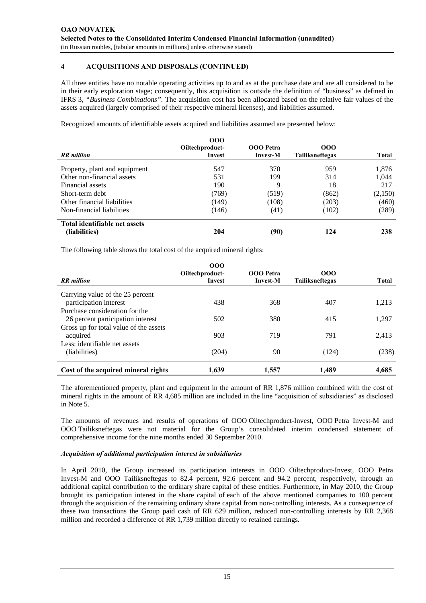All three entities have no notable operating activities up to and as at the purchase date and are all considered to be in their early exploration stage; consequently, this acquisition is outside the definition of "business" as defined in IFRS 3, *"Business Combinations".* The acquisition cost has been allocated based on the relative fair values of the assets acquired (largely comprised of their respective mineral licenses), and liabilities assumed.

Recognized amounts of identifiable assets acquired and liabilities assumed are presented below:

|                               | 000<br>Oiltechproduct- | OOO Petra       | 000                    |         |
|-------------------------------|------------------------|-----------------|------------------------|---------|
| <b>RR</b> million             | Invest                 | <b>Invest-M</b> | <b>Tailiksneftegas</b> | Total   |
| Property, plant and equipment | 547                    | 370             | 959                    | 1,876   |
| Other non-financial assets    | 531                    | 199             | 314                    | 1,044   |
| Financial assets              | 190                    | 9               | 18                     | 217     |
| Short-term debt               | (769)                  | (519)           | (862)                  | (2,150) |
| Other financial liabilities   | (149)                  | (108)           | (203)                  | (460)   |
| Non-financial liabilities     | (146)                  | (41)            | (102)                  | (289)   |
| Total identifiable net assets |                        |                 |                        |         |
| (liabilities)                 | 204                    | (90)            | 124                    | 238     |

The following table shows the total cost of the acquired mineral rights:

| <b>RR</b> million                                                   | 000<br>Oiltechproduct-<br>Invest | <b>OOO</b> Petra<br><b>Invest-M</b> | 000<br>Tailiksneftegas | <b>Total</b> |
|---------------------------------------------------------------------|----------------------------------|-------------------------------------|------------------------|--------------|
| Carrying value of the 25 percent<br>participation interest          | 438                              | 368                                 | 407                    | 1,213        |
| Purchase consideration for the<br>26 percent participation interest | 502                              | 380                                 | 415                    | 1,297        |
| Gross up for total value of the assets<br>acquired                  | 903                              | 719                                 | 791                    | 2,413        |
| Less: identifiable net assets<br>(liabilities)                      | (204)                            | 90                                  | (124)                  | (238)        |
| Cost of the acquired mineral rights                                 | 1.639                            | 1.557                               | 1.489                  | 4,685        |

The aforementioned property, plant and equipment in the amount of RR 1,876 million combined with the cost of mineral rights in the amount of RR 4,685 million are included in the line "acquisition of subsidiaries" as disclosed in Note 5.

The amounts of revenues and results of operations of OOO Oiltechproduct-Invest, OOO Petra Invest-M and OOO Tailiksneftegas were not material for the Group's consolidated interim condensed statement of comprehensive income for the nine months ended 30 September 2010.

## *Acquisition of additional participation interest in subsidiaries*

In April 2010, the Group increased its participation interests in OOO Oiltechproduct-Invest, OOO Petra Invest-M and OOO Tailiksneftegas to 82.4 percent, 92.6 percent and 94.2 percent, respectively, through an additional capital contribution to the ordinary share capital of these entities. Furthermore, in May 2010, the Group brought its participation interest in the share capital of each of the above mentioned companies to 100 percent through the acquisition of the remaining ordinary share capital from non-controlling interests. As a consequence of these two transactions the Group paid cash of RR 629 million, reduced non-controlling interests by RR 2,368 million and recorded a difference of RR 1,739 million directly to retained earnings.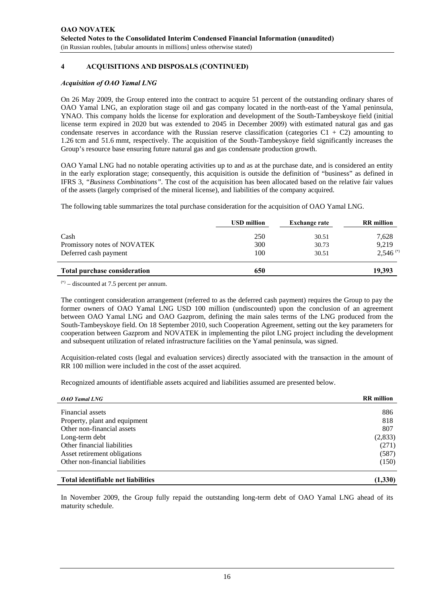#### *Acquisition of OAO Yamal LNG*

On 26 May 2009, the Group entered into the contract to acquire 51 percent of the outstanding ordinary shares of OAO Yamal LNG, an exploration stage oil and gas company located in the north-east of the Yamal peninsula, YNAO. This company holds the license for exploration and development of the South-Tambeyskoye field (initial license term expired in 2020 but was extended to 2045 in December 2009) with estimated natural gas and gas condensate reserves in accordance with the Russian reserve classification (categories  $C1 + C2$ ) amounting to 1.26 tcm and 51.6 mmt, respectively. The acquisition of the South-Tambeyskoye field significantly increases the Group's resource base ensuring future natural gas and gas condensate production growth.

OAO Yamal LNG had no notable operating activities up to and as at the purchase date, and is considered an entity in the early exploration stage; consequently, this acquisition is outside the definition of "business" as defined in IFRS 3, *"Business Combinations".* The cost of the acquisition has been allocated based on the relative fair values of the assets (largely comprised of the mineral license), and liabilities of the company acquired.

The following table summarizes the total purchase consideration for the acquisition of OAO Yamal LNG.

|                                     | <b>USD</b> million | <b>Exchange rate</b> | <b>RR</b> million      |
|-------------------------------------|--------------------|----------------------|------------------------|
| Cash                                | 250                | 30.51                | 7,628                  |
| Promissory notes of NOVATEK         | 300                | 30.73                | 9,219                  |
| Deferred cash payment               | 100                | 30.51                | $2,546$ <sup>(*)</sup> |
| <b>Total purchase consideration</b> | 650                |                      | 19,393                 |

 $(2)$  – discounted at 7.5 percent per annum.

The contingent consideration arrangement (referred to as the deferred cash payment) requires the Group to pay the former owners of OAO Yamal LNG USD 100 million (undiscounted) upon the conclusion of an agreement between OAO Yamal LNG and OAO Gazprom, defining the main sales terms of the LNG produced from the South-Tambeyskoye field. On 18 September 2010, such Cooperation Agreement, setting out the key parameters for cooperation between Gazprom and NOVATEK in implementing the pilot LNG project including the development and subsequent utilization of related infrastructure facilities on the Yamal peninsula, was signed.

Acquisition-related costs (legal and evaluation services) directly associated with the transaction in the amount of RR 100 million were included in the cost of the asset acquired.

Recognized amounts of identifiable assets acquired and liabilities assumed are presented below.

| <b>OAO</b> Yamal LNG            | <b>RR</b> million |
|---------------------------------|-------------------|
| Financial assets                | 886               |
|                                 |                   |
| Property, plant and equipment   | 818               |
| Other non-financial assets      | 807               |
| Long-term debt                  | (2,833)           |
| Other financial liabilities     | (271)             |
| Asset retirement obligations    | (587)             |
| Other non-financial liabilities | (150)             |
|                                 |                   |

#### **Total identifiable net liabilities (1,330)**

In November 2009, the Group fully repaid the outstanding long-term debt of OAO Yamal LNG ahead of its maturity schedule.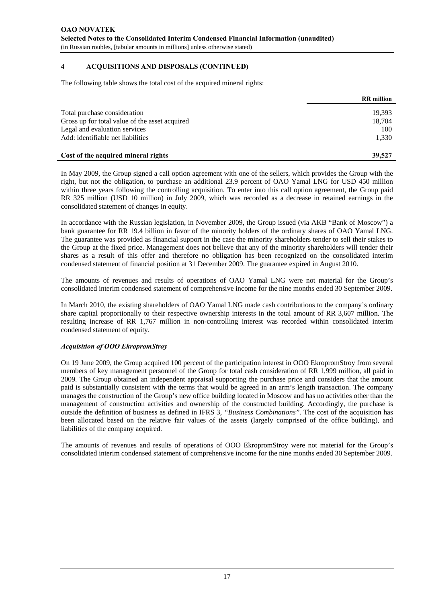The following table shows the total cost of the acquired mineral rights:

|                                                | <b>RR</b> million |
|------------------------------------------------|-------------------|
| Total purchase consideration                   | 19.393            |
| Gross up for total value of the asset acquired | 18,704            |
| Legal and evaluation services                  | 100               |
| Add: identifiable net liabilities              | 1,330             |
| Cost of the acquired mineral rights            | 39,527            |

In May 2009, the Group signed a call option agreement with one of the sellers, which provides the Group with the right, but not the obligation, to purchase an additional 23.9 percent of OAO Yamal LNG for USD 450 million within three years following the controlling acquisition. To enter into this call option agreement, the Group paid RR 325 million (USD 10 million) in July 2009, which was recorded as a decrease in retained earnings in the consolidated statement of changes in equity.

In accordance with the Russian legislation, in November 2009, the Group issued (via AKB "Bank of Moscow") a bank guarantee for RR 19.4 billion in favor of the minority holders of the ordinary shares of OAO Yamal LNG. The guarantee was provided as financial support in the case the minority shareholders tender to sell their stakes to the Group at the fixed price. Management does not believe that any of the minority shareholders will tender their shares as a result of this offer and therefore no obligation has been recognized on the consolidated interim condensed statement of financial position at 31 December 2009. The guarantee expired in August 2010.

The amounts of revenues and results of operations of OAO Yamal LNG were not material for the Group's consolidated interim condensed statement of comprehensive income for the nine months ended 30 September 2009.

In March 2010, the existing shareholders of OAO Yamal LNG made cash contributions to the company's ordinary share capital proportionally to their respective ownership interests in the total amount of RR 3,607 million. The resulting increase of RR 1,767 million in non-controlling interest was recorded within consolidated interim condensed statement of equity.

## *Acquisition of OOO EkropromStroy*

On 19 June 2009, the Group acquired 100 percent of the participation interest in OOO EkropromStroy from several members of key management personnel of the Group for total cash consideration of RR 1,999 million, all paid in 2009. The Group obtained an independent appraisal supporting the purchase price and considers that the amount paid is substantially consistent with the terms that would be agreed in an arm's length transaction. The company manages the construction of the Group's new office building located in Moscow and has no activities other than the management of construction activities and ownership of the constructed building. Accordingly, the purchase is outside the definition of business as defined in IFRS 3, *"Business Combinations".* The cost of the acquisition has been allocated based on the relative fair values of the assets (largely comprised of the office building), and liabilities of the company acquired.

The amounts of revenues and results of operations of OOO EkropromStroy were not material for the Group's consolidated interim condensed statement of comprehensive income for the nine months ended 30 September 2009.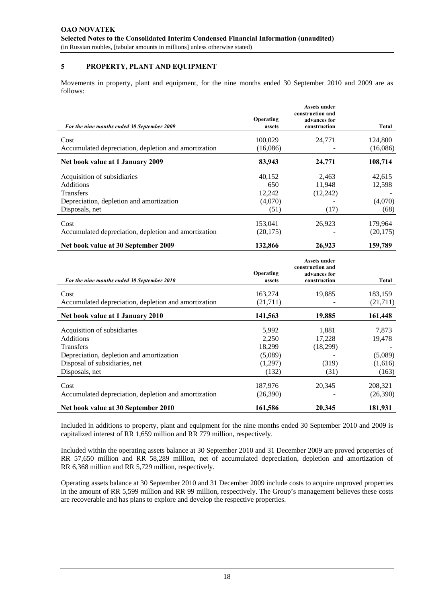## **5 PROPERTY, PLANT AND EQUIPMENT**

Movements in property, plant and equipment, for the nine months ended 30 September 2010 and 2009 are as follows:

|                                                      | Operating | <b>Assets under</b><br>construction and |           |
|------------------------------------------------------|-----------|-----------------------------------------|-----------|
| For the nine months ended 30 September 2009          | assets    | advances for<br>construction            | Total     |
| Cost                                                 | 100,029   | 24,771                                  | 124,800   |
| Accumulated depreciation, depletion and amortization | (16,086)  |                                         | (16,086)  |
| Net book value at 1 January 2009                     | 83,943    | 24,771                                  | 108,714   |
| Acquisition of subsidiaries                          | 40,152    | 2,463                                   | 42,615    |
| Additions                                            | 650       | 11.948                                  | 12,598    |
| <b>Transfers</b>                                     | 12,242    | (12, 242)                               |           |
| Depreciation, depletion and amortization             | (4,070)   |                                         | (4,070)   |
| Disposals, net                                       | (51)      | (17)                                    | (68)      |
| Cost                                                 | 153,041   | 26,923                                  | 179,964   |
| Accumulated depreciation, depletion and amortization | (20, 175) |                                         | (20, 175) |
| Net book value at 30 September 2009                  | 132,866   | 26,923                                  | 159,789   |

| For the nine months ended 30 September 2010          | Operating<br>assets | <b>Assets under</b><br>construction and<br>advances for<br>construction | Total    |
|------------------------------------------------------|---------------------|-------------------------------------------------------------------------|----------|
| Cost                                                 | 163,274             | 19,885                                                                  | 183,159  |
| Accumulated depreciation, depletion and amortization | (21,711)            |                                                                         | (21,711) |
| Net book value at 1 January 2010                     | 141,563             | 19,885                                                                  | 161,448  |
| Acquisition of subsidiaries                          | 5,992               | 1,881                                                                   | 7,873    |
| Additions                                            | 2,250               | 17,228                                                                  | 19,478   |
| <b>Transfers</b>                                     | 18,299              | (18,299)                                                                |          |
| Depreciation, depletion and amortization             | (5,089)             |                                                                         | (5,089)  |
| Disposal of subsidiaries, net                        | (1,297)             | (319)                                                                   | (1,616)  |
| Disposals, net                                       | (132)               | (31)                                                                    | (163)    |
| Cost                                                 | 187,976             | 20,345                                                                  | 208,321  |
| Accumulated depreciation, depletion and amortization | (26,390)            |                                                                         | (26,390) |
| Net book value at 30 September 2010                  | 161,586             | 20,345                                                                  | 181,931  |

Included in additions to property, plant and equipment for the nine months ended 30 September 2010 and 2009 is capitalized interest of RR 1,659 million and RR 779 million, respectively.

Included within the operating assets balance at 30 September 2010 and 31 December 2009 are proved properties of RR 57,650 million and RR 58,289 million, net of accumulated depreciation, depletion and amortization of RR 6,368 million and RR 5,729 million, respectively.

Operating assets balance at 30 September 2010 and 31 December 2009 include costs to acquire unproved properties in the amount of RR 5,599 million and RR 99 million, respectively. The Group's management believes these costs are recoverable and has plans to explore and develop the respective properties.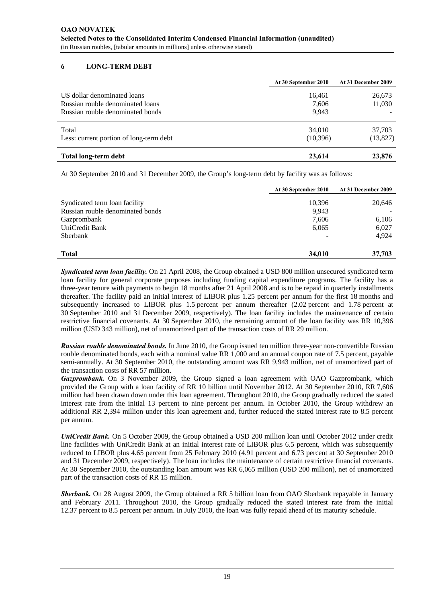# **6 LONG-TERM DEBT**

|                                                                                                     | At 30 September 2010     | At 31 December 2009 |
|-----------------------------------------------------------------------------------------------------|--------------------------|---------------------|
| US dollar denominated loans<br>Russian rouble denominated loans<br>Russian rouble denominated bonds | 16,461<br>7,606<br>9.943 | 26,673<br>11,030    |
| Total<br>Less: current portion of long-term debt                                                    | 34,010<br>(10, 396)      | 37.703<br>(13,827)  |
| Total long-term debt                                                                                | 23,614                   | 23,876              |

At 30 September 2010 and 31 December 2009, the Group's long-term debt by facility was as follows:

|                                  | At 30 September 2010 | At 31 December 2009 |
|----------------------------------|----------------------|---------------------|
| Syndicated term loan facility    | 10,396               | 20,646              |
| Russian rouble denominated bonds | 9,943                |                     |
| Gazprombank                      | 7,606                | 6,106               |
| UniCredit Bank                   | 6,065                | 6,027               |
| Sberbank                         |                      | 4.924               |
| <b>Total</b>                     | 34,010               | 37,703              |

*Syndicated term loan facility.* On 21 April 2008, the Group obtained a USD 800 million unsecured syndicated term loan facility for general corporate purposes including funding capital expenditure programs. The facility has a three-year tenure with payments to begin 18 months after 21 April 2008 and is to be repaid in quarterly installments thereafter. The facility paid an initial interest of LIBOR plus 1.25 percent per annum for the first 18 months and subsequently increased to LIBOR plus 1.5 percent per annum thereafter (2.02 percent and 1.78 percent at 30 September 2010 and 31 December 2009, respectively). The loan facility includes the maintenance of certain restrictive financial covenants. At 30 September 2010, the remaining amount of the loan facility was RR 10,396 million (USD 343 million), net of unamortized part of the transaction costs of RR 29 million.

*Russian rouble denominated bonds.* In June 2010, the Group issued ten million three-year non-convertible Russian rouble denominated bonds, each with a nominal value RR 1,000 and an annual coupon rate of 7.5 percent, payable semi-annually. At 30 September 2010, the outstanding amount was RR 9,943 million, net of unamortized part of the transaction costs of RR 57 million.

*Gazprombank.* On 3 November 2009, the Group signed a loan agreement with OAO Gazprombank, which provided the Group with a loan facility of RR 10 billion until November 2012. At 30 September 2010, RR 7,606 million had been drawn down under this loan agreement. Throughout 2010, the Group gradually reduced the stated interest rate from the initial 13 percent to nine percent per annum. In October 2010, the Group withdrew an additional RR 2,394 million under this loan agreement and, further reduced the stated interest rate to 8.5 percent per annum.

*UniCredit Bank.* On 5 October 2009, the Group obtained a USD 200 million loan until October 2012 under credit line facilities with UniCredit Bank at an initial interest rate of LIBOR plus 6.5 percent, which was subsequently reduced to LIBOR plus 4.65 percent from 25 February 2010 (4.91 percent and 6.73 percent at 30 September 2010 and 31 December 2009, respectively). The loan includes the maintenance of certain restrictive financial covenants. At 30 September 2010, the outstanding loan amount was RR 6,065 million (USD 200 million), net of unamortized part of the transaction costs of RR 15 million.

*Sberbank.* On 28 August 2009, the Group obtained a RR 5 billion loan from OAO Sberbank repayable in January and February 2011. Throughout 2010, the Group gradually reduced the stated interest rate from the initial 12.37 percent to 8.5 percent per annum. In July 2010, the loan was fully repaid ahead of its maturity schedule.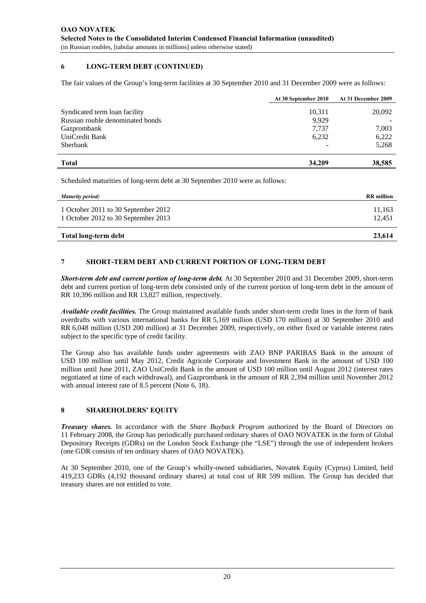# **6 LONG-TERM DEBT (CONTINUED)**

The fair values of the Group's long-term facilities at 30 September 2010 and 31 December 2009 were as follows:

|                                  | At 30 September 2010 | At 31 December 2009 |
|----------------------------------|----------------------|---------------------|
| Syndicated term loan facility    | 10,311               | 20,092              |
| Russian rouble denominated bonds | 9.929                |                     |
| Gazprombank                      | 7.737                | 7,003               |
| UniCredit Bank                   | 6,232                | 6,222               |
| Sberbank                         |                      | 5,268               |
| <b>Total</b>                     | 34,209               | 38,585              |

Scheduled maturities of long-term debt at 30 September 2010 were as follows:

| Maturity period:                                                           | <b>RR</b> million |
|----------------------------------------------------------------------------|-------------------|
| 1 October 2011 to 30 September 2012<br>1 October 2012 to 30 September 2013 | 11,163<br>12.451  |
| Total long-term debt                                                       | 23,614            |

# **7 SHORT-TERM DEBT AND CURRENT PORTION OF LONG-TERM DEBT**

*Short-term debt and current portion of long-term debt.* At 30 September 2010 and 31 December 2009, short-term debt and current portion of long-term debt consisted only of the current portion of long-term debt in the amount of RR 10,396 million and RR 13,827 million, respectively.

*Available credit facilities.* The Group maintained available funds under short-term credit lines in the form of bank overdrafts with various international banks for RR 5,169 million (USD 170 million) at 30 September 2010 and RR 6,048 million (USD 200 million) at 31 December 2009, respectively, on either fixed or variable interest rates subject to the specific type of credit facility.

The Group also has available funds under agreements with ZAO BNP PARIBAS Bank in the amount of USD 100 million until May 2012, Credit Agricole Corporate and Investment Bank in the amount of USD 100 million until June 2011, ZAO UniCredit Bank in the amount of USD 100 million until August 2012 (interest rates negotiated at time of each withdrawal), and Gazprombank in the amount of RR 2,394 million until November 2012 with annual interest rate of 8.5 percent (Note 6, 18).

## **8 SHAREHOLDERS' EQUITY**

*Treasury shares.* In accordance with the *Share Buyback Program* authorized by the Board of Directors on 11 February 2008, the Group has periodically purchased ordinary shares of OAO NOVATEK in the form of Global Depository Receipts (GDRs) on the London Stock Exchange (the "LSE") through the use of independent brokers (one GDR consists of ten ordinary shares of OAO NOVATEK).

At 30 September 2010, one of the Group's wholly-owned subsidiaries, Novatek Equity (Cyprus) Limited, held 419,233 GDRs (4,192 thousand ordinary shares) at total cost of RR 599 million. The Group has decided that treasury shares are not entitled to vote.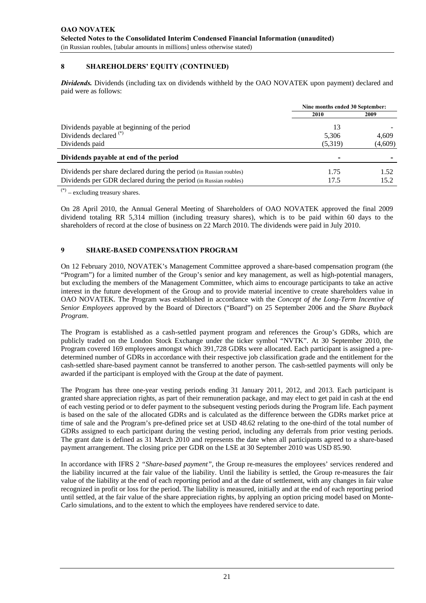# **8 SHAREHOLDERS' EQUITY (CONTINUED)**

*Dividends.* Dividends (including tax on dividends withheld by the OAO NOVATEK upon payment) declared and paid were as follows:

|                                                                     | Nine months ended 30 September: |         |  |
|---------------------------------------------------------------------|---------------------------------|---------|--|
|                                                                     | 2010                            | 2009    |  |
| Dividends payable at beginning of the period                        | 13                              |         |  |
| Dividends declared <sup>(*)</sup>                                   | 5,306                           | 4.609   |  |
| Dividends paid                                                      | (5,319)                         | (4,609) |  |
| Dividends payable at end of the period                              |                                 |         |  |
| Dividends per share declared during the period (in Russian roubles) | 1.75                            | 1.52    |  |
| Dividends per GDR declared during the period (in Russian roubles)   | 17.5                            | 15.2    |  |

(\*) – excluding treasury shares.

On 28 April 2010, the Annual General Meeting of Shareholders of OAO NOVATEK approved the final 2009 dividend totaling RR 5,314 million (including treasury shares), which is to be paid within 60 days to the shareholders of record at the close of business on 22 March 2010. The dividends were paid in July 2010.

# **9 SHARE-BASED COMPENSATION PROGRAM**

On 12 February 2010, NOVATEK's Management Committee approved a share-based compensation program (the "Program") for a limited number of the Group's senior and key management, as well as high-potential managers, but excluding the members of the Management Committee, which aims to encourage participants to take an active interest in the future development of the Group and to provide material incentive to create shareholders value in OAO NOVATEK. The Program was established in accordance with the *Concept of the Long-Term Incentive of Senior Employees* approved by the Board of Directors ("Board") on 25 September 2006 and the *Share Buyback Program*.

The Program is established as a cash-settled payment program and references the Group's GDRs, which are publicly traded on the London Stock Exchange under the ticker symbol "NVTK". At 30 September 2010, the Program covered 169 employees amongst which 391,728 GDRs were allocated. Each participant is assigned a predetermined number of GDRs in accordance with their respective job classification grade and the entitlement for the cash-settled share-based payment cannot be transferred to another person. The cash-settled payments will only be awarded if the participant is employed with the Group at the date of payment.

The Program has three one-year vesting periods ending 31 January 2011, 2012, and 2013. Each participant is granted share appreciation rights, as part of their remuneration package, and may elect to get paid in cash at the end of each vesting period or to defer payment to the subsequent vesting periods during the Program life. Each payment is based on the sale of the allocated GDRs and is calculated as the difference between the GDRs market price at time of sale and the Program's pre-defined price set at USD 48.62 relating to the one-third of the total number of GDRs assigned to each participant during the vesting period, including any deferrals from prior vesting periods. The grant date is defined as 31 March 2010 and represents the date when all participants agreed to a share-based payment arrangement. The closing price per GDR on the LSE at 30 September 2010 was USD 85.90.

In accordance with IFRS 2 *"Share-based payment"*, the Group re-measures the employees' services rendered and the liability incurred at the fair value of the liability. Until the liability is settled, the Group re-measures the fair value of the liability at the end of each reporting period and at the date of settlement, with any changes in fair value recognized in profit or loss for the period. The liability is measured, initially and at the end of each reporting period until settled, at the fair value of the share appreciation rights, by applying an option pricing model based on Monte-Carlo simulations, and to the extent to which the employees have rendered service to date.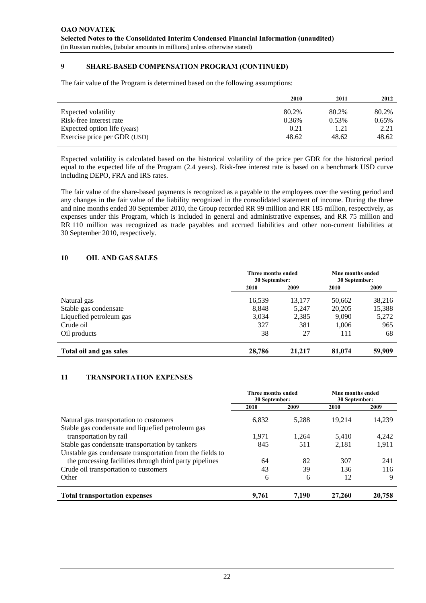# **9 SHARE-BASED COMPENSATION PROGRAM (CONTINUED)**

The fair value of the Program is determined based on the following assumptions:

|                              | 2010  | 2011  | 2012  |
|------------------------------|-------|-------|-------|
| Expected volatility          | 80.2% | 80.2% | 80.2% |
| Risk-free interest rate      | 0.36% | 0.53% | 0.65% |
| Expected option life (years) | 0.21  | 1.21  | 2.21  |
| Exercise price per GDR (USD) | 48.62 | 48.62 | 48.62 |
|                              |       |       |       |

Expected volatility is calculated based on the historical volatility of the price per GDR for the historical period equal to the expected life of the Program (2.4 years). Risk-free interest rate is based on a benchmark USD curve including DEPO, FRA and IRS rates.

The fair value of the share-based payments is recognized as a payable to the employees over the vesting period and any changes in the fair value of the liability recognized in the consolidated statement of income. During the three and nine months ended 30 September 2010, the Group recorded RR 99 million and RR 185 million, respectively, as expenses under this Program, which is included in general and administrative expenses, and RR 75 million and RR 110 million was recognized as trade payables and accrued liabilities and other non-current liabilities at 30 September 2010, respectively.

## **10 OIL AND GAS SALES**

|                         | <b>Three months ended</b><br>30 September: |        | Nine months ended<br>30 September: |        |
|-------------------------|--------------------------------------------|--------|------------------------------------|--------|
|                         | 2010                                       | 2009   | 2010                               | 2009   |
| Natural gas             | 16,539                                     | 13,177 | 50,662                             | 38,216 |
| Stable gas condensate   | 8,848                                      | 5,247  | 20,205                             | 15,388 |
| Liquefied petroleum gas | 3,034                                      | 2,385  | 9,090                              | 5,272  |
| Crude oil               | 327                                        | 381    | 1,006                              | 965    |
| Oil products            | 38                                         | 27     | 111                                | 68     |
| Total oil and gas sales | 28,786                                     | 21,217 | 81,074                             | 59,909 |

## **11 TRANSPORTATION EXPENSES**

|                                                                                              | Three months ended<br>30 September: |       | Nine months ended<br>30 September: |        |
|----------------------------------------------------------------------------------------------|-------------------------------------|-------|------------------------------------|--------|
|                                                                                              | 2010                                | 2009  | 2010                               | 2009   |
| Natural gas transportation to customers<br>Stable gas condensate and liquefied petroleum gas | 6,832                               | 5,288 | 19.214                             | 14,239 |
| transportation by rail                                                                       | 1.971                               | 1.264 | 5.410                              | 4,242  |
| Stable gas condensate transportation by tankers                                              | 845                                 | 511   | 2,181                              | 1,911  |
| Unstable gas condensate transportation from the fields to                                    |                                     |       |                                    |        |
| the processing facilities through third party pipelines                                      | 64                                  | 82    | 307                                | 241    |
| Crude oil transportation to customers                                                        | 43                                  | 39    | 136                                | 116    |
| Other                                                                                        | 6                                   | 6     | 12                                 | 9      |
| <b>Total transportation expenses</b>                                                         | 9,761                               | 7.190 | 27,260                             | 20,758 |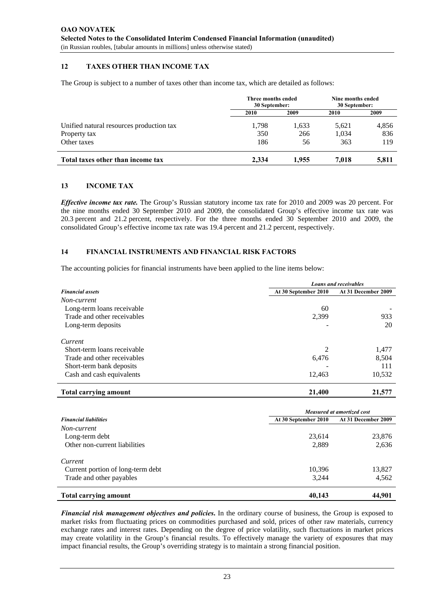## **12 TAXES OTHER THAN INCOME TAX**

The Group is subject to a number of taxes other than income tax, which are detailed as follows:

|                                                          | Three months ended<br>30 September: |              | Nine months ended<br>30 September: |              |
|----------------------------------------------------------|-------------------------------------|--------------|------------------------------------|--------------|
|                                                          | 2010                                | 2009         | 2010                               | 2009         |
| Unified natural resources production tax<br>Property tax | 1,798<br>350                        | 1,633<br>266 | 5,621<br>1,034                     | 4,856<br>836 |
|                                                          |                                     |              |                                    |              |
| Total taxes other than income tax                        | 2.334                               | 1.955        | 7.018                              | 5,811        |

## **13 INCOME TAX**

*Effective income tax rate.* The Group's Russian statutory income tax rate for 2010 and 2009 was 20 percent. For the nine months ended 30 September 2010 and 2009, the consolidated Group's effective income tax rate was 20.3 percent and 21.2 percent, respectively. For the three months ended 30 September 2010 and 2009, the consolidated Group's effective income tax rate was 19.4 percent and 21.2 percent, respectively.

#### **14 FINANCIAL INSTRUMENTS AND FINANCIAL RISK FACTORS**

The accounting policies for financial instruments have been applied to the line items below:

|                              | <b>Loans and receivables</b> |                     |  |
|------------------------------|------------------------------|---------------------|--|
| <b>Financial assets</b>      | At 30 September 2010         | At 31 December 2009 |  |
| Non-current                  |                              |                     |  |
| Long-term loans receivable   | 60                           |                     |  |
| Trade and other receivables  | 2,399                        | 933                 |  |
| Long-term deposits           |                              | 20                  |  |
| Current                      |                              |                     |  |
| Short-term loans receivable  | 2                            | 1,477               |  |
| Trade and other receivables  | 6,476                        | 8,504               |  |
| Short-term bank deposits     |                              | 111                 |  |
| Cash and cash equivalents    | 12,463                       | 10,532              |  |
| <b>Total carrying amount</b> | 21,400                       | 21,577              |  |

|                                                               | <b>Measured at amortized cost</b> |                     |  |
|---------------------------------------------------------------|-----------------------------------|---------------------|--|
| <b>Financial liabilities</b><br>Non-current<br>Long-term debt | At 30 September 2010              | At 31 December 2009 |  |
|                                                               |                                   |                     |  |
|                                                               | 23,614                            | 23,876              |  |
| Other non-current liabilities                                 | 2,889                             | 2,636               |  |
| Current                                                       |                                   |                     |  |
| Current portion of long-term debt                             | 10,396                            | 13,827              |  |
| Trade and other payables                                      | 3,244                             | 4,562               |  |
| <b>Total carrying amount</b>                                  | 40,143                            | 44,901              |  |

*Financial risk management objectives and policies***.** In the ordinary course of business, the Group is exposed to market risks from fluctuating prices on commodities purchased and sold, prices of other raw materials, currency exchange rates and interest rates. Depending on the degree of price volatility, such fluctuations in market prices may create volatility in the Group's financial results. To effectively manage the variety of exposures that may impact financial results, the Group's overriding strategy is to maintain a strong financial position.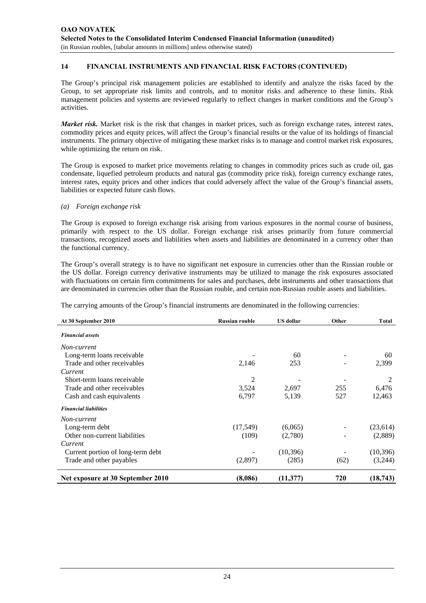The Group's principal risk management policies are established to identify and analyze the risks faced by the Group, to set appropriate risk limits and controls, and to monitor risks and adherence to these limits. Risk management policies and systems are reviewed regularly to reflect changes in market conditions and the Group's activities.

*Market risk.* Market risk is the risk that changes in market prices, such as foreign exchange rates, interest rates, commodity prices and equity prices, will affect the Group's financial results or the value of its holdings of financial instruments. The primary objective of mitigating these market risks is to manage and control market risk exposures, while optimizing the return on risk.

The Group is exposed to market price movements relating to changes in commodity prices such as crude oil, gas condensate, liquefied petroleum products and natural gas (commodity price risk), foreign currency exchange rates, interest rates, equity prices and other indices that could adversely affect the value of the Group's financial assets, liabilities or expected future cash flows.

*(a) Foreign exchange risk* 

The Group is exposed to foreign exchange risk arising from various exposures in the normal course of business, primarily with respect to the US dollar. Foreign exchange risk arises primarily from future commercial transactions, recognized assets and liabilities when assets and liabilities are denominated in a currency other than the functional currency.

The Group's overall strategy is to have no significant net exposure in currencies other than the Russian rouble or the US dollar. Foreign currency derivative instruments may be utilized to manage the risk exposures associated with fluctuations on certain firm commitments for sales and purchases, debt instruments and other transactions that are denominated in currencies other than the Russian rouble, and certain non-Russian rouble assets and liabilities.

The carrying amounts of the Group's financial instruments are denominated in the following currencies:

| At 30 September 2010              | <b>Russian rouble</b> | <b>US</b> dollar | Other | <b>Total</b> |
|-----------------------------------|-----------------------|------------------|-------|--------------|
| <b>Financial assets</b>           |                       |                  |       |              |
| Non-current                       |                       |                  |       |              |
| Long-term loans receivable        |                       | 60               |       | 60           |
| Trade and other receivables       | 2,146                 | 253              |       | 2,399        |
| Current                           |                       |                  |       |              |
| Short-term loans receivable       | 2                     |                  |       | 2            |
| Trade and other receivables       | 3,524                 | 2,697            | 255   | 6,476        |
| Cash and cash equivalents         | 6,797                 | 5,139            | 527   | 12,463       |
| <b>Financial liabilities</b>      |                       |                  |       |              |
| Non-current                       |                       |                  |       |              |
| Long-term debt                    | (17,549)              | (6,065)          |       | (23,614)     |
| Other non-current liabilities     | (109)                 | (2,780)          |       | (2,889)      |
| Current                           |                       |                  |       |              |
| Current portion of long-term debt |                       | (10, 396)        |       | (10, 396)    |
| Trade and other payables          | (2,897)               | (285)            | (62)  | (3,244)      |
| Net exposure at 30 September 2010 | (8,086)               | (11, 377)        | 720   | (18, 743)    |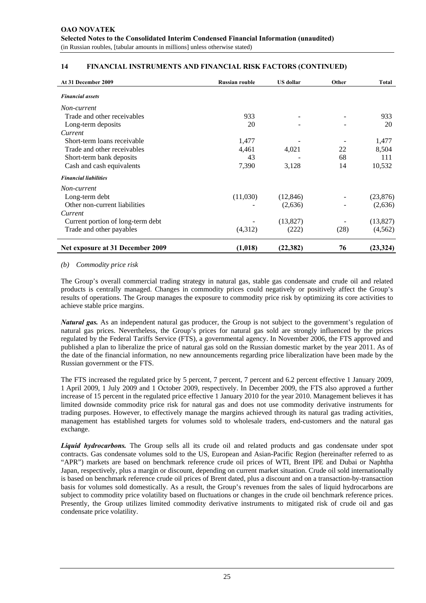| At 31 December 2009               | <b>Russian rouble</b> | <b>US</b> dollar | Other | <b>Total</b> |
|-----------------------------------|-----------------------|------------------|-------|--------------|
| <b>Financial assets</b>           |                       |                  |       |              |
| Non-current                       |                       |                  |       |              |
| Trade and other receivables       | 933                   |                  |       | 933          |
| Long-term deposits                | 20                    |                  |       | 20           |
| Current                           |                       |                  |       |              |
| Short-term loans receivable       | 1,477                 |                  |       | 1,477        |
| Trade and other receivables       | 4,461                 | 4,021            | 22    | 8,504        |
| Short-term bank deposits          | 43                    |                  | 68    | 111          |
| Cash and cash equivalents         | 7,390                 | 3,128            | 14    | 10,532       |
| <b>Financial liabilities</b>      |                       |                  |       |              |
| Non-current                       |                       |                  |       |              |
| Long-term debt                    | (11,030)              | (12, 846)        |       | (23, 876)    |
| Other non-current liabilities     |                       | (2,636)          |       | (2,636)      |
| Current                           |                       |                  |       |              |
| Current portion of long-term debt |                       | (13,827)         |       | (13,827)     |
| Trade and other payables          | (4,312)               | (222)            | (28)  | (4, 562)     |
| Net exposure at 31 December 2009  | (1,018)               | (22, 382)        | 76    | (23, 324)    |

#### *(b) Commodity price risk*

The Group's overall commercial trading strategy in natural gas, stable gas condensate and crude oil and related products is centrally managed. Changes in commodity prices could negatively or positively affect the Group's results of operations. The Group manages the exposure to commodity price risk by optimizing its core activities to achieve stable price margins.

*Natural gas.* As an independent natural gas producer, the Group is not subject to the government's regulation of natural gas prices. Nevertheless, the Group's prices for natural gas sold are strongly influenced by the prices regulated by the Federal Tariffs Service (FTS), a governmental agency. In November 2006, the FTS approved and published a plan to liberalize the price of natural gas sold on the Russian domestic market by the year 2011. As of the date of the financial information, no new announcements regarding price liberalization have been made by the Russian government or the FTS.

The FTS increased the regulated price by 5 percent, 7 percent, 7 percent and 6.2 percent effective 1 January 2009, 1 April 2009, 1 July 2009 and 1 October 2009, respectively. In December 2009, the FTS also approved a further increase of 15 percent in the regulated price effective 1 January 2010 for the year 2010. Management believes it has limited downside commodity price risk for natural gas and does not use commodity derivative instruments for trading purposes. However, to effectively manage the margins achieved through its natural gas trading activities, management has established targets for volumes sold to wholesale traders, end-customers and the natural gas exchange.

*Liquid hydrocarbons.* The Group sells all its crude oil and related products and gas condensate under spot contracts. Gas condensate volumes sold to the US, European and Asian-Pacific Region (hereinafter referred to as "APR") markets are based on benchmark reference crude oil prices of WTI, Brent IPE and Dubai or Naphtha Japan, respectively, plus a margin or discount, depending on current market situation. Crude oil sold internationally is based on benchmark reference crude oil prices of Brent dated, plus a discount and on a transaction-by-transaction basis for volumes sold domestically. As a result, the Group's revenues from the sales of liquid hydrocarbons are subject to commodity price volatility based on fluctuations or changes in the crude oil benchmark reference prices. Presently, the Group utilizes limited commodity derivative instruments to mitigated risk of crude oil and gas condensate price volatility.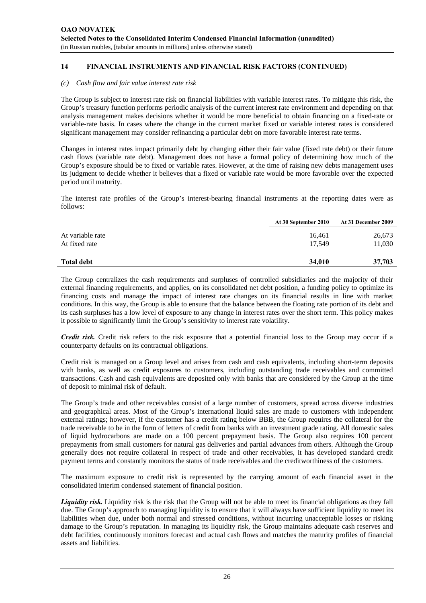#### *(c) Cash flow and fair value interest rate risk*

The Group is subject to interest rate risk on financial liabilities with variable interest rates. To mitigate this risk, the Group's treasury function performs periodic analysis of the current interest rate environment and depending on that analysis management makes decisions whether it would be more beneficial to obtain financing on a fixed-rate or variable-rate basis. In cases where the change in the current market fixed or variable interest rates is considered significant management may consider refinancing a particular debt on more favorable interest rate terms.

Changes in interest rates impact primarily debt by changing either their fair value (fixed rate debt) or their future cash flows (variable rate debt). Management does not have a formal policy of determining how much of the Group's exposure should be to fixed or variable rates. However, at the time of raising new debts management uses its judgment to decide whether it believes that a fixed or variable rate would be more favorable over the expected period until maturity.

The interest rate profiles of the Group's interest-bearing financial instruments at the reporting dates were as follows:

|                                   | At 30 September 2010 | At 31 December 2009 |
|-----------------------------------|----------------------|---------------------|
| At variable rate<br>At fixed rate | 16,461<br>17.549     | 26,673<br>11,030    |
| <b>Total debt</b>                 | 34,010               | 37,703              |

The Group centralizes the cash requirements and surpluses of controlled subsidiaries and the majority of their external financing requirements, and applies, on its consolidated net debt position, a funding policy to optimize its financing costs and manage the impact of interest rate changes on its financial results in line with market conditions. In this way, the Group is able to ensure that the balance between the floating rate portion of its debt and its cash surpluses has a low level of exposure to any change in interest rates over the short term. This policy makes it possible to significantly limit the Group's sensitivity to interest rate volatility.

*Credit risk.* Credit risk refers to the risk exposure that a potential financial loss to the Group may occur if a counterparty defaults on its contractual obligations.

Credit risk is managed on a Group level and arises from cash and cash equivalents, including short-term deposits with banks, as well as credit exposures to customers, including outstanding trade receivables and committed transactions. Cash and cash equivalents are deposited only with banks that are considered by the Group at the time of deposit to minimal risk of default.

The Group's trade and other receivables consist of a large number of customers, spread across diverse industries and geographical areas. Most of the Group's international liquid sales are made to customers with independent external ratings; however, if the customer has a credit rating below BBB, the Group requires the collateral for the trade receivable to be in the form of letters of credit from banks with an investment grade rating. All domestic sales of liquid hydrocarbons are made on a 100 percent prepayment basis. The Group also requires 100 percent prepayments from small customers for natural gas deliveries and partial advances from others. Although the Group generally does not require collateral in respect of trade and other receivables, it has developed standard credit payment terms and constantly monitors the status of trade receivables and the creditworthiness of the customers.

The maximum exposure to credit risk is represented by the carrying amount of each financial asset in the consolidated interim condensed statement of financial position.

*Liquidity risk.* Liquidity risk is the risk that the Group will not be able to meet its financial obligations as they fall due. The Group's approach to managing liquidity is to ensure that it will always have sufficient liquidity to meet its liabilities when due, under both normal and stressed conditions, without incurring unacceptable losses or risking damage to the Group's reputation. In managing its liquidity risk, the Group maintains adequate cash reserves and debt facilities, continuously monitors forecast and actual cash flows and matches the maturity profiles of financial assets and liabilities.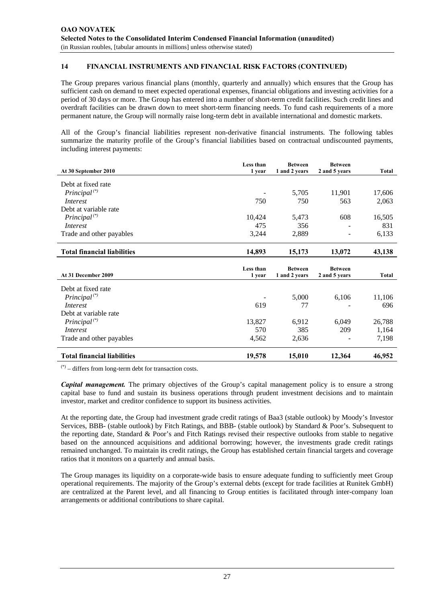The Group prepares various financial plans (monthly, quarterly and annually) which ensures that the Group has sufficient cash on demand to meet expected operational expenses, financial obligations and investing activities for a period of 30 days or more. The Group has entered into a number of short-term credit facilities. Such credit lines and overdraft facilities can be drawn down to meet short-term financing needs. To fund cash requirements of a more permanent nature, the Group will normally raise long-term debt in available international and domestic markets.

All of the Group's financial liabilities represent non-derivative financial instruments. The following tables summarize the maturity profile of the Group's financial liabilities based on contractual undiscounted payments, including interest payments:

|                                        | Less than | <b>Between</b> | <b>Between</b> |               |
|----------------------------------------|-----------|----------------|----------------|---------------|
| At 30 September 2010                   | 1 year    | 1 and 2 years  | 2 and 5 years  | <b>Total</b>  |
| Debt at fixed rate                     |           |                |                |               |
| Principal <sup>(*)</sup>               |           | 5,705          | 11,901         | 17,606        |
| <i>Interest</i>                        | 750       | 750            | 563            | 2,063         |
| Debt at variable rate                  |           |                |                |               |
| Principal <sup>(*)</sup>               | 10,424    | 5,473          | 608            | 16,505        |
| Interest                               | 475       | 356            |                | 831           |
| Trade and other payables               | 3,244     | 2,889          |                | 6,133         |
| <b>Total financial liabilities</b>     | 14,893    | 15,173         | 13,072         | 43,138        |
|                                        | Less than | <b>Between</b> | <b>Between</b> |               |
| At 31 December 2009                    | 1 year    | 1 and 2 years  | 2 and 5 years  | <b>Total</b>  |
| Debt at fixed rate                     |           |                |                |               |
|                                        |           |                |                |               |
|                                        |           |                |                |               |
| $Principal$ <sup>(*)</sup><br>Interest | 619       | 5,000<br>77    | 6,106          | 11,106<br>696 |
| Debt at variable rate                  |           |                |                |               |
| $Principal$ <sup>(*)</sup>             | 13,827    | 6,912          | 6,049          | 26,788        |
| <i>Interest</i>                        | 570       | 385            | 209            | 1,164         |
| Trade and other payables               | 4,562     | 2,636          |                | 7,198         |

 $(*)$  – differs from long-term debt for transaction costs.

*Capital management.* The primary objectives of the Group's capital management policy is to ensure a strong capital base to fund and sustain its business operations through prudent investment decisions and to maintain investor, market and creditor confidence to support its business activities.

At the reporting date, the Group had investment grade credit ratings of Baa3 (stable outlook) by Moody's Investor Services, BBB- (stable outlook) by Fitch Ratings, and BBB- (stable outlook) by Standard & Poor's. Subsequent to the reporting date, Standard & Poor's and Fitch Ratings revised their respective outlooks from stable to negative based on the announced acquisitions and additional borrowing; however, the investments grade credit ratings remained unchanged. To maintain its credit ratings, the Group has established certain financial targets and coverage ratios that it monitors on a quarterly and annual basis.

The Group manages its liquidity on a corporate-wide basis to ensure adequate funding to sufficiently meet Group operational requirements. The majority of the Group's external debts (except for trade facilities at Runitek GmbH) are centralized at the Parent level, and all financing to Group entities is facilitated through inter-company loan arrangements or additional contributions to share capital.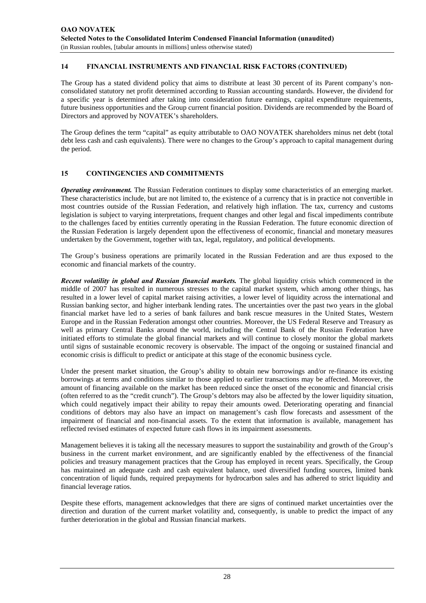The Group has a stated dividend policy that aims to distribute at least 30 percent of its Parent company's nonconsolidated statutory net profit determined according to Russian accounting standards. However, the dividend for a specific year is determined after taking into consideration future earnings, capital expenditure requirements, future business opportunities and the Group current financial position. Dividends are recommended by the Board of Directors and approved by NOVATEK's shareholders.

The Group defines the term "capital" as equity attributable to OAO NOVATEK shareholders minus net debt (total debt less cash and cash equivalents). There were no changes to the Group's approach to capital management during the period.

## **15 CONTINGENCIES AND COMMITMENTS**

*Operating environment.* The Russian Federation continues to display some characteristics of an emerging market. These characteristics include, but are not limited to, the existence of a currency that is in practice not convertible in most countries outside of the Russian Federation, and relatively high inflation. The tax, currency and customs legislation is subject to varying interpretations, frequent changes and other legal and fiscal impediments contribute to the challenges faced by entities currently operating in the Russian Federation. The future economic direction of the Russian Federation is largely dependent upon the effectiveness of economic, financial and monetary measures undertaken by the Government, together with tax, legal, regulatory, and political developments.

The Group's business operations are primarily located in the Russian Federation and are thus exposed to the economic and financial markets of the country.

*Recent volatility in global and Russian financial markets.* The global liquidity crisis which commenced in the middle of 2007 has resulted in numerous stresses to the capital market system, which among other things, has resulted in a lower level of capital market raising activities, a lower level of liquidity across the international and Russian banking sector, and higher interbank lending rates. The uncertainties over the past two years in the global financial market have led to a series of bank failures and bank rescue measures in the United States, Western Europe and in the Russian Federation amongst other countries. Moreover, the US Federal Reserve and Treasury as well as primary Central Banks around the world, including the Central Bank of the Russian Federation have initiated efforts to stimulate the global financial markets and will continue to closely monitor the global markets until signs of sustainable economic recovery is observable. The impact of the ongoing or sustained financial and economic crisis is difficult to predict or anticipate at this stage of the economic business cycle.

Under the present market situation, the Group's ability to obtain new borrowings and/or re-finance its existing borrowings at terms and conditions similar to those applied to earlier transactions may be affected. Moreover, the amount of financing available on the market has been reduced since the onset of the economic and financial crisis (often referred to as the "credit crunch"). The Group's debtors may also be affected by the lower liquidity situation, which could negatively impact their ability to repay their amounts owed. Deteriorating operating and financial conditions of debtors may also have an impact on management's cash flow forecasts and assessment of the impairment of financial and non-financial assets. To the extent that information is available, management has reflected revised estimates of expected future cash flows in its impairment assessments.

Management believes it is taking all the necessary measures to support the sustainability and growth of the Group's business in the current market environment, and are significantly enabled by the effectiveness of the financial policies and treasury management practices that the Group has employed in recent years. Specifically, the Group has maintained an adequate cash and cash equivalent balance, used diversified funding sources, limited bank concentration of liquid funds, required prepayments for hydrocarbon sales and has adhered to strict liquidity and financial leverage ratios.

Despite these efforts, management acknowledges that there are signs of continued market uncertainties over the direction and duration of the current market volatility and, consequently, is unable to predict the impact of any further deterioration in the global and Russian financial markets.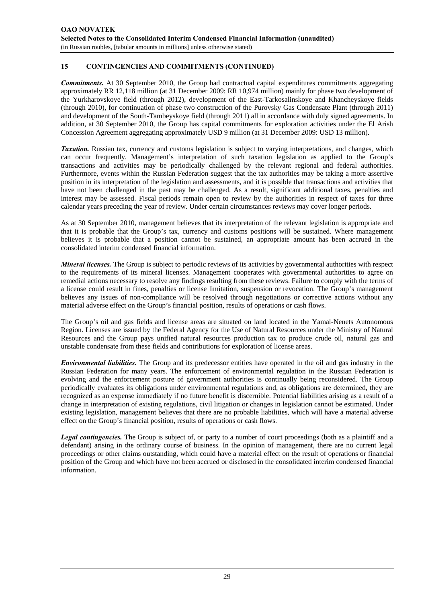# **15 CONTINGENCIES AND COMMITMENTS (CONTINUED)**

*Commitments.* At 30 September 2010, the Group had contractual capital expenditures commitments aggregating approximately RR 12,118 million (at 31 December 2009: RR 10,974 million) mainly for phase two development of the Yurkharovskoye field (through 2012), development of the East-Tarkosalinskoye and Khancheyskoye fields (through 2010), for continuation of phase two construction of the Purovsky Gas Condensate Plant (through 2011) and development of the South-Tambeyskoye field (through 2011) all in accordance with duly signed agreements. In addition, at 30 September 2010, the Group has capital commitments for exploration activities under the El Arish Concession Agreement aggregating approximately USD 9 million (at 31 December 2009: USD 13 million).

*Taxation.* Russian tax, currency and customs legislation is subject to varying interpretations, and changes, which can occur frequently. Management's interpretation of such taxation legislation as applied to the Group's transactions and activities may be periodically challenged by the relevant regional and federal authorities. Furthermore, events within the Russian Federation suggest that the tax authorities may be taking a more assertive position in its interpretation of the legislation and assessments, and it is possible that transactions and activities that have not been challenged in the past may be challenged. As a result, significant additional taxes, penalties and interest may be assessed. Fiscal periods remain open to review by the authorities in respect of taxes for three calendar years preceding the year of review. Under certain circumstances reviews may cover longer periods.

As at 30 September 2010, management believes that its interpretation of the relevant legislation is appropriate and that it is probable that the Group's tax, currency and customs positions will be sustained. Where management believes it is probable that a position cannot be sustained, an appropriate amount has been accrued in the consolidated interim condensed financial information.

*Mineral licenses*. The Group is subject to periodic reviews of its activities by governmental authorities with respect to the requirements of its mineral licenses. Management cooperates with governmental authorities to agree on remedial actions necessary to resolve any findings resulting from these reviews. Failure to comply with the terms of a license could result in fines, penalties or license limitation, suspension or revocation. The Group's management believes any issues of non-compliance will be resolved through negotiations or corrective actions without any material adverse effect on the Group's financial position, results of operations or cash flows.

The Group's oil and gas fields and license areas are situated on land located in the Yamal-Nenets Autonomous Region. Licenses are issued by the Federal Agency for the Use of Natural Resources under the Ministry of Natural Resources and the Group pays unified natural resources production tax to produce crude oil, natural gas and unstable condensate from these fields and contributions for exploration of license areas.

*Environmental liabilities.* The Group and its predecessor entities have operated in the oil and gas industry in the Russian Federation for many years. The enforcement of environmental regulation in the Russian Federation is evolving and the enforcement posture of government authorities is continually being reconsidered. The Group periodically evaluates its obligations under environmental regulations and, as obligations are determined, they are recognized as an expense immediately if no future benefit is discernible. Potential liabilities arising as a result of a change in interpretation of existing regulations, civil litigation or changes in legislation cannot be estimated. Under existing legislation, management believes that there are no probable liabilities, which will have a material adverse effect on the Group's financial position, results of operations or cash flows.

*Legal contingencies.* The Group is subject of, or party to a number of court proceedings (both as a plaintiff and a defendant) arising in the ordinary course of business. In the opinion of management, there are no current legal proceedings or other claims outstanding, which could have a material effect on the result of operations or financial position of the Group and which have not been accrued or disclosed in the consolidated interim condensed financial information.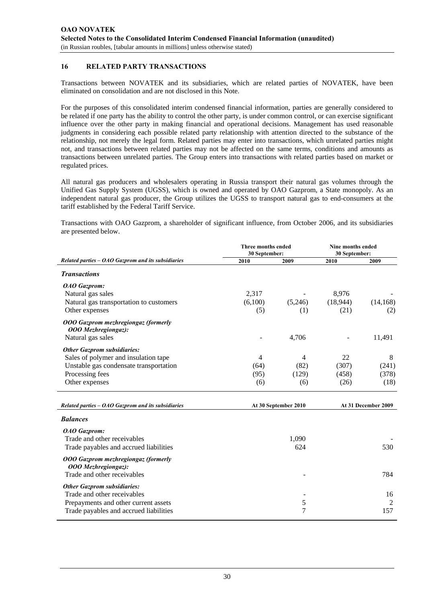### **16 RELATED PARTY TRANSACTIONS**

Transactions between NOVATEK and its subsidiaries, which are related parties of NOVATEK, have been eliminated on consolidation and are not disclosed in this Note.

For the purposes of this consolidated interim condensed financial information, parties are generally considered to be related if one party has the ability to control the other party, is under common control, or can exercise significant influence over the other party in making financial and operational decisions. Management has used reasonable judgments in considering each possible related party relationship with attention directed to the substance of the relationship, not merely the legal form. Related parties may enter into transactions, which unrelated parties might not, and transactions between related parties may not be affected on the same terms, conditions and amounts as transactions between unrelated parties. The Group enters into transactions with related parties based on market or regulated prices.

All natural gas producers and wholesalers operating in Russia transport their natural gas volumes through the Unified Gas Supply System (UGSS), which is owned and operated by OAO Gazprom, a State monopoly. As an independent natural gas producer, the Group utilizes the UGSS to transport natural gas to end-consumers at the tariff established by the Federal Tariff Service.

Transactions with OAO Gazprom, a shareholder of significant influence, from October 2006, and its subsidiaries are presented below.

|                                                                   | Three months ended<br>30 September: |                      | Nine months ended<br>30 September: |                     |  |
|-------------------------------------------------------------------|-------------------------------------|----------------------|------------------------------------|---------------------|--|
| Related parties $-$ OAO Gazprom and its subsidiaries              | 2010                                | 2009                 | 2010                               | 2009                |  |
| <b>Transactions</b>                                               |                                     |                      |                                    |                     |  |
| <b>OAO</b> Gazprom:                                               |                                     |                      |                                    |                     |  |
| Natural gas sales                                                 | 2,317                               |                      | 8,976                              |                     |  |
| Natural gas transportation to customers                           | (6,100)                             | (5,246)              | (18,944)                           | (14, 168)           |  |
| Other expenses                                                    | (5)                                 | (1)                  | (21)                               | (2)                 |  |
| <b>OOO Gazprom mezhregiongaz (formerly</b><br>000 Mezhregiongaz): |                                     |                      |                                    |                     |  |
| Natural gas sales                                                 |                                     | 4,706                |                                    | 11,491              |  |
| <b>Other Gazprom subsidiaries:</b>                                |                                     |                      |                                    |                     |  |
| Sales of polymer and insulation tape                              | $\overline{4}$                      | 4                    | 22                                 | 8                   |  |
| Unstable gas condensate transportation                            | (64)                                | (82)                 | (307)                              | (241)               |  |
| Processing fees                                                   | (95)                                | (129)                | (458)                              | (378)               |  |
| Other expenses                                                    | (6)                                 | (6)                  | (26)                               | (18)                |  |
| Related parties $-$ OAO Gazprom and its subsidiaries              |                                     | At 30 September 2010 |                                    | At 31 December 2009 |  |
| <b>Balances</b>                                                   |                                     |                      |                                    |                     |  |
| OAO Gazprom:                                                      |                                     |                      |                                    |                     |  |
| Trade and other receivables                                       |                                     | 1,090                |                                    |                     |  |
| Trade payables and accrued liabilities                            |                                     | 624                  |                                    | 530                 |  |
| <b>OOO Gazprom mezhregiongaz (formerly</b><br>000 Mezhregiongaz): |                                     |                      |                                    |                     |  |
| Trade and other receivables                                       |                                     |                      |                                    | 784                 |  |
| <b>Other Gazprom subsidiaries:</b>                                |                                     |                      |                                    |                     |  |
| Trade and other receivables                                       |                                     |                      |                                    | 16                  |  |
| Prepayments and other current assets                              |                                     | 5                    |                                    | $\overline{2}$      |  |
| Trade payables and accrued liabilities                            |                                     | 7                    |                                    | 157                 |  |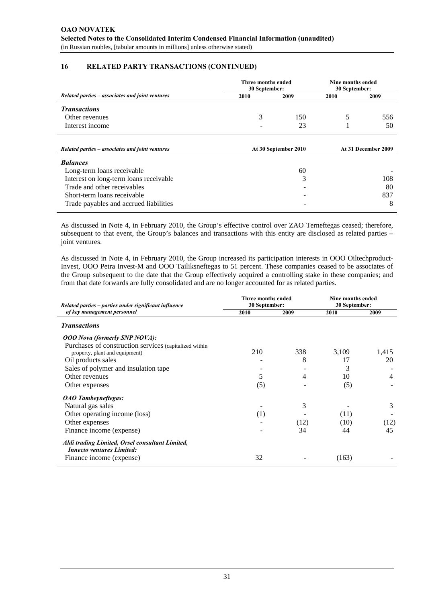# **16 RELATED PARTY TRANSACTIONS (CONTINUED)**

|                                                 | Three months ended<br>30 September: | Nine months ended<br>30 September: |      |                     |
|-------------------------------------------------|-------------------------------------|------------------------------------|------|---------------------|
| Related parties – associates and joint ventures | 2010                                | 2009                               | 2010 | 2009                |
| <b>Transactions</b>                             |                                     |                                    |      |                     |
| Other revenues                                  | 3                                   | 150                                | 5    | 556                 |
| Interest income                                 |                                     | 23                                 |      | 50                  |
| Related parties – associates and joint ventures |                                     | At 30 September 2010               |      | At 31 December 2009 |
| <b>Balances</b>                                 |                                     |                                    |      |                     |
| Long-term loans receivable                      |                                     | 60                                 |      |                     |
| Interest on long-term loans receivable          |                                     | 3                                  |      | 108                 |
| Trade and other receivables                     |                                     | -                                  |      | 80                  |
| Short-term loans receivable                     |                                     |                                    |      | 837                 |
| Trade payables and accrued liabilities          |                                     | ۰                                  |      | 8                   |

As discussed in Note 4, in February 2010, the Group's effective control over ZAO Terneftegas ceased; therefore, subsequent to that event, the Group's balances and transactions with this entity are disclosed as related parties – joint ventures.

As discussed in Note 4, in February 2010, the Group increased its participation interests in OOO Oiltechproduct-Invest, OOO Petra Invest-M and OOO Tailiksneftegas to 51 percent. These companies ceased to be associates of the Group subsequent to the date that the Group effectively acquired a controlling stake in these companies; and from that date forwards are fully consolidated and are no longer accounted for as related parties.

| Related parties – parties under significant influence  | Three months ended<br>30 September: |      | Nine months ended<br>30 September: |                |  |
|--------------------------------------------------------|-------------------------------------|------|------------------------------------|----------------|--|
| of key management personnel                            | 2010                                | 2009 | 2010                               | 2009           |  |
| <b>Transactions</b>                                    |                                     |      |                                    |                |  |
| <b>OOO</b> Nova (formerly SNP NOVA):                   |                                     |      |                                    |                |  |
| Purchases of construction services (capitalized within |                                     |      |                                    |                |  |
| property, plant and equipment)                         | 210                                 | 338  | 3,109                              | 1,415          |  |
| Oil products sales                                     |                                     | 8    | 17                                 | 20             |  |
| Sales of polymer and insulation tape                   |                                     |      | 3                                  |                |  |
| Other revenues                                         | 5                                   | 4    | 10                                 | $\overline{4}$ |  |
| Other expenses                                         | (5)                                 |      | (5)                                |                |  |
| <b>OAO</b> Tambeyneftegas:                             |                                     |      |                                    |                |  |
| Natural gas sales                                      |                                     | 3    |                                    | 3              |  |
| Other operating income (loss)                          | (1)                                 |      | (11)                               |                |  |
| Other expenses                                         |                                     | (12) | (10)                               | (12)           |  |
| Finance income (expense)                               |                                     | 34   | 44                                 | 45             |  |
| Aldi trading Limited, Orsel consultant Limited,        |                                     |      |                                    |                |  |
| <b>Innecto ventures Limited:</b>                       |                                     |      |                                    |                |  |
| Finance income (expense)                               | 32                                  |      | (163)                              |                |  |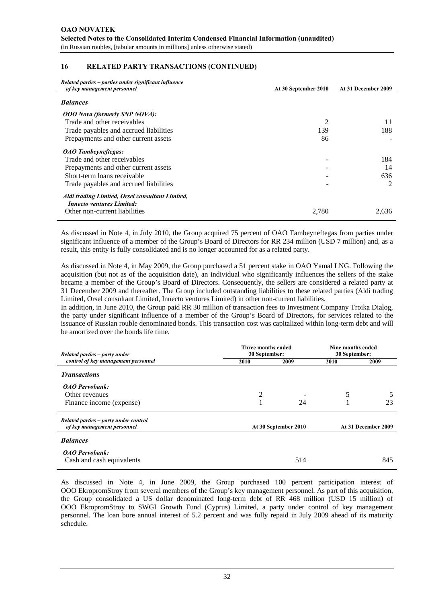#### **16 RELATED PARTY TRANSACTIONS (CONTINUED)**

| Related parties – parties under significant influence                               |                      |                     |
|-------------------------------------------------------------------------------------|----------------------|---------------------|
| of key management personnel                                                         | At 30 September 2010 | At 31 December 2009 |
| <b>Balances</b>                                                                     |                      |                     |
| <b>OOO</b> Nova (formerly SNP NOVA):                                                |                      |                     |
| Trade and other receivables                                                         |                      | 11                  |
| Trade payables and accrued liabilities                                              | 139                  | 188                 |
| Prepayments and other current assets                                                | 86                   |                     |
| <b>OAO</b> Tambeyneftegas:                                                          |                      |                     |
| Trade and other receivables                                                         |                      | 184                 |
| Prepayments and other current assets                                                |                      | 14                  |
| Short-term loans receivable                                                         |                      | 636                 |
| Trade payables and accrued liabilities                                              |                      | 2                   |
| Aldi trading Limited, Orsel consultant Limited,<br><b>Innecto ventures Limited:</b> |                      |                     |
| Other non-current liabilities                                                       | 2,780                | 2,636               |

As discussed in Note 4, in July 2010, the Group acquired 75 percent of OAO Tambeyneftegas from parties under significant influence of a member of the Group's Board of Directors for RR 234 million (USD 7 million) and, as a result, this entity is fully consolidated and is no longer accounted for as a related party.

As discussed in Note 4, in May 2009, the Group purchased a 51 percent stake in OAO Yamal LNG. Following the acquisition (but not as of the acquisition date), an individual who significantly influences the sellers of the stake became a member of the Group's Board of Directors. Consequently, the sellers are considered a related party at 31 December 2009 and thereafter. The Group included outstanding liabilities to these related parties (Aldi trading Limited, Orsel consultant Limited, Innecto ventures Limited) in other non-current liabilities.

In addition, in June 2010, the Group paid RR 30 million of transaction fees to Investment Company Troika Dialog, the party under significant influence of a member of the Group's Board of Directors, for services related to the issuance of Russian rouble denominated bonds. This transaction cost was capitalized within long-term debt and will be amortized over the bonds life time.

| Related parties – party under                      | Three months ended<br>30 September: |                      |      | Nine months ended<br>30 September: |
|----------------------------------------------------|-------------------------------------|----------------------|------|------------------------------------|
| control of key management personnel                | 2010                                | 2009                 | 2010 | 2009                               |
| <b>Transactions</b>                                |                                     |                      |      |                                    |
| <b>OAO</b> Pervobank:                              |                                     |                      |      |                                    |
| Other revenues                                     | 2                                   |                      | 5    |                                    |
| Finance income (expense)                           |                                     | 24                   |      | 23                                 |
| Related parties – party under control              |                                     |                      |      |                                    |
| of key management personnel                        |                                     | At 30 September 2010 |      | At 31 December 2009                |
| <b>Balances</b>                                    |                                     |                      |      |                                    |
| <b>OAO</b> Pervobank:<br>Cash and cash equivalents |                                     | 514                  |      | 845                                |

As discussed in Note 4, in June 2009, the Group purchased 100 percent participation interest of OOO EkropromStroy from several members of the Group's key management personnel. As part of this acquisition, the Group consolidated a US dollar denominated long-term debt of RR 468 million (USD 15 million) of OOO EkropromStroy to SWGI Growth Fund (Cyprus) Limited, a party under control of key management personnel. The loan bore annual interest of 5.2 percent and was fully repaid in July 2009 ahead of its maturity schedule.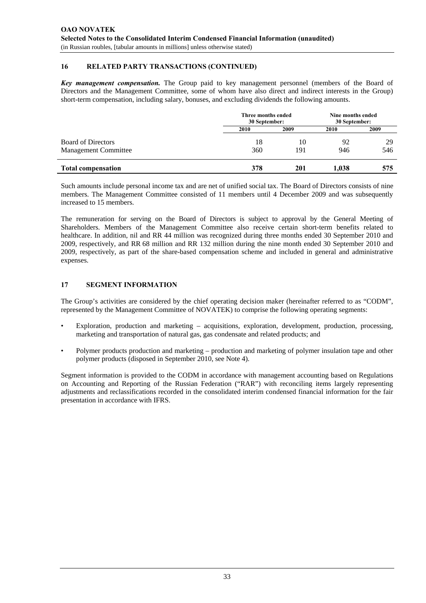# **16 RELATED PARTY TRANSACTIONS (CONTINUED)**

*Key management compensation.* The Group paid to key management personnel (members of the Board of Directors and the Management Committee, some of whom have also direct and indirect interests in the Group) short-term compensation, including salary, bonuses, and excluding dividends the following amounts.

|                             | Three months ended<br>30 September: | Nine months ended<br>30 September: |       |      |  |
|-----------------------------|-------------------------------------|------------------------------------|-------|------|--|
|                             | 2010                                | 2009                               | 2010  | 2009 |  |
| <b>Board of Directors</b>   | 18                                  | 10                                 | 92    | 29   |  |
| <b>Management Committee</b> | 360                                 | 191                                | 946   | 546  |  |
| <b>Total compensation</b>   | 378                                 | 201                                | 1.038 | 575  |  |

Such amounts include personal income tax and are net of unified social tax. The Board of Directors consists of nine members. The Management Committee consisted of 11 members until 4 December 2009 and was subsequently increased to 15 members.

The remuneration for serving on the Board of Directors is subject to approval by the General Meeting of Shareholders. Members of the Management Committee also receive certain short-term benefits related to healthcare. In addition, nil and RR 44 million was recognized during three months ended 30 September 2010 and 2009, respectively, and RR 68 million and RR 132 million during the nine month ended 30 September 2010 and 2009, respectively, as part of the share-based compensation scheme and included in general and administrative expenses.

# **17 SEGMENT INFORMATION**

The Group's activities are considered by the chief operating decision maker (hereinafter referred to as "CODM", represented by the Management Committee of NOVATEK) to comprise the following operating segments:

- Exploration, production and marketing acquisitions, exploration, development, production, processing, marketing and transportation of natural gas, gas condensate and related products; and
- Polymer products production and marketing production and marketing of polymer insulation tape and other polymer products (disposed in September 2010, see Note 4).

Segment information is provided to the CODM in accordance with management accounting based on Regulations on Accounting and Reporting of the Russian Federation ("RAR") with reconciling items largely representing adjustments and reclassifications recorded in the consolidated interim condensed financial information for the fair presentation in accordance with IFRS.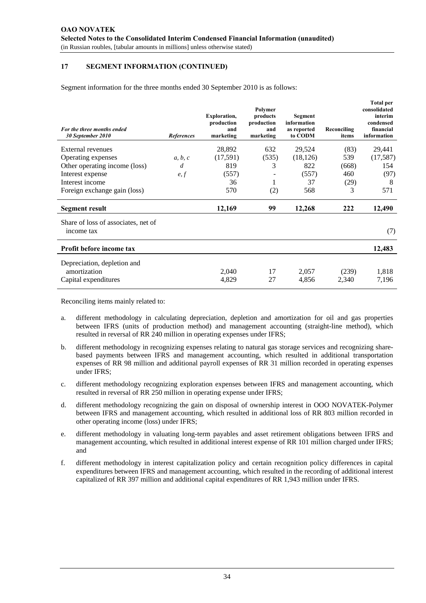Segment information for the three months ended 30 September 2010 is as follows:

| For the three months ended<br>30 September 2010   | References | <b>Exploration,</b><br>production<br>and<br>marketing | Polymer<br>products<br>production<br>and<br>marketing | Segment<br>information<br>as reported<br>to CODM | Reconciling<br>items | <b>Total per</b><br>consolidated<br>interim<br>condensed<br>financial<br>information |
|---------------------------------------------------|------------|-------------------------------------------------------|-------------------------------------------------------|--------------------------------------------------|----------------------|--------------------------------------------------------------------------------------|
| External revenues                                 |            | 28,892                                                | 632                                                   | 29,524                                           | (83)                 | 29,441                                                                               |
| Operating expenses                                | a, b, c    | (17,591)                                              | (535)                                                 | (18, 126)                                        | 539                  | (17, 587)                                                                            |
| Other operating income (loss)                     | d          | 819                                                   | 3                                                     | 822                                              | (668)                | 154                                                                                  |
| Interest expense                                  | e, f       | (557)                                                 |                                                       | (557)                                            | 460                  | (97)                                                                                 |
| Interest income                                   |            | 36                                                    |                                                       | 37                                               | (29)                 | 8                                                                                    |
| Foreign exchange gain (loss)                      |            | 570                                                   | (2)                                                   | 568                                              | 3                    | 571                                                                                  |
| <b>Segment result</b>                             |            | 12,169                                                | 99                                                    | 12,268                                           | 222                  | 12,490                                                                               |
| Share of loss of associates, net of<br>income tax |            |                                                       |                                                       |                                                  |                      | (7)                                                                                  |
| Profit before income tax                          |            |                                                       |                                                       |                                                  |                      | 12,483                                                                               |
| Depreciation, depletion and                       |            |                                                       |                                                       |                                                  |                      |                                                                                      |
| amortization                                      |            | 2,040                                                 | 17                                                    | 2,057                                            | (239)                | 1,818                                                                                |
| Capital expenditures                              |            | 4,829                                                 | 27                                                    | 4,856                                            | 2,340                | 7,196                                                                                |

Reconciling items mainly related to:

- a. different methodology in calculating depreciation, depletion and amortization for oil and gas properties between IFRS (units of production method) and management accounting (straight-line method), which resulted in reversal of RR 240 million in operating expenses under IFRS;
- b. different methodology in recognizing expenses relating to natural gas storage services and recognizing sharebased payments between IFRS and management accounting, which resulted in additional transportation expenses of RR 98 million and additional payroll expenses of RR 31 million recorded in operating expenses under IFRS;
- c. different methodology recognizing exploration expenses between IFRS and management accounting, which resulted in reversal of RR 250 million in operating expense under IFRS;
- d. different methodology recognizing the gain on disposal of ownership interest in OOO NOVATEK-Polymer between IFRS and management accounting, which resulted in additional loss of RR 803 million recorded in other operating income (loss) under IFRS;
- e. different methodology in valuating long-term payables and asset retirement obligations between IFRS and management accounting, which resulted in additional interest expense of RR 101 million charged under IFRS; and
- f. different methodology in interest capitalization policy and certain recognition policy differences in capital expenditures between IFRS and management accounting, which resulted in the recording of additional interest capitalized of RR 397 million and additional capital expenditures of RR 1,943 million under IFRS.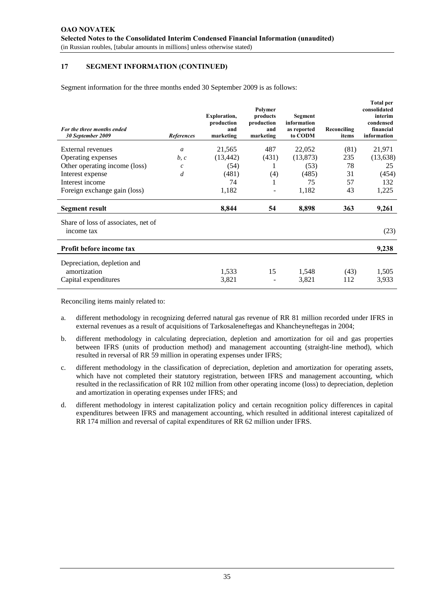Segment information for the three months ended 30 September 2009 is as follows:

| For the three months ended<br>30 September 2009   | References     | <b>Exploration,</b><br>production<br>and<br>marketing | Polymer<br>products<br>production<br>and<br>marketing | Segment<br>information<br>as reported<br>to CODM | Reconciling<br>items | <b>Total per</b><br>consolidated<br>interim<br>condensed<br>financial<br>information |
|---------------------------------------------------|----------------|-------------------------------------------------------|-------------------------------------------------------|--------------------------------------------------|----------------------|--------------------------------------------------------------------------------------|
| External revenues                                 | $\mathfrak{a}$ | 21,565                                                | 487                                                   | 22,052                                           | (81)                 | 21,971                                                                               |
| Operating expenses                                | b, c           | (13, 442)                                             | (431)                                                 | (13, 873)                                        | 235                  | (13, 638)                                                                            |
| Other operating income (loss)                     | $\mathfrak c$  | (54)                                                  |                                                       | (53)                                             | 78                   | 25                                                                                   |
| Interest expense                                  | d              | (481)                                                 | (4)                                                   | (485)                                            | 31                   | (454)                                                                                |
| Interest income                                   |                | 74                                                    | 1                                                     | 75                                               | 57                   | 132                                                                                  |
| Foreign exchange gain (loss)                      |                | 1,182                                                 |                                                       | 1,182                                            | 43                   | 1,225                                                                                |
| <b>Segment result</b>                             |                | 8,844                                                 | 54                                                    | 8,898                                            | 363                  | 9,261                                                                                |
| Share of loss of associates, net of<br>income tax |                |                                                       |                                                       |                                                  |                      | (23)                                                                                 |
| Profit before income tax                          |                |                                                       |                                                       |                                                  |                      | 9,238                                                                                |
| Depreciation, depletion and                       |                |                                                       |                                                       |                                                  |                      |                                                                                      |
| amortization                                      |                | 1,533                                                 | 15                                                    | 1,548                                            | (43)                 | 1,505                                                                                |
| Capital expenditures                              |                | 3,821                                                 |                                                       | 3,821                                            | 112                  | 3,933                                                                                |

Reconciling items mainly related to:

- a. different methodology in recognizing deferred natural gas revenue of RR 81 million recorded under IFRS in external revenues as a result of acquisitions of Tarkosaleneftegas and Khancheyneftegas in 2004;
- b. different methodology in calculating depreciation, depletion and amortization for oil and gas properties between IFRS (units of production method) and management accounting (straight-line method), which resulted in reversal of RR 59 million in operating expenses under IFRS;
- c. different methodology in the classification of depreciation, depletion and amortization for operating assets, which have not completed their statutory registration, between IFRS and management accounting, which resulted in the reclassification of RR 102 million from other operating income (loss) to depreciation, depletion and amortization in operating expenses under IFRS; and
- d. different methodology in interest capitalization policy and certain recognition policy differences in capital expenditures between IFRS and management accounting, which resulted in additional interest capitalized of RR 174 million and reversal of capital expenditures of RR 62 million under IFRS.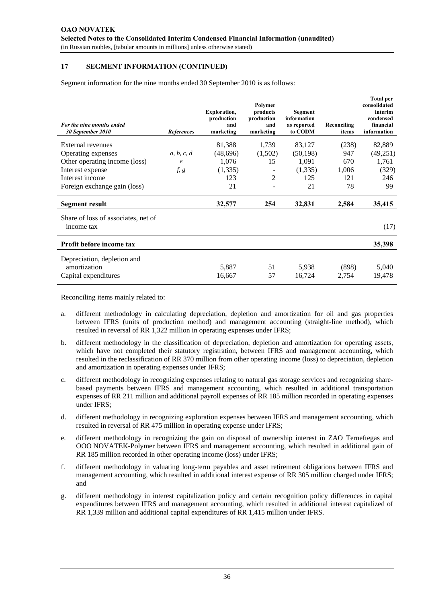Segment information for the nine months ended 30 September 2010 is as follows:

| For the nine months ended<br>30 September 2010    | References | <b>Exploration,</b><br>production<br>and<br>marketing | Polymer<br>products<br>production<br>and<br>marketing | Segment<br>information<br>as reported<br>to CODM | Reconciling<br>items | <b>Total per</b><br>consolidated<br>interim<br>condensed<br>financial<br>information |
|---------------------------------------------------|------------|-------------------------------------------------------|-------------------------------------------------------|--------------------------------------------------|----------------------|--------------------------------------------------------------------------------------|
| <b>External revenues</b>                          |            | 81,388                                                | 1,739                                                 | 83,127                                           | (238)                | 82,889                                                                               |
| Operating expenses                                | a, b, c, d | (48,696)                                              | (1,502)                                               | (50, 198)                                        | 947                  | (49,251)                                                                             |
| Other operating income (loss)                     | $\ell$     | 1,076                                                 | 15                                                    | 1,091                                            | 670                  | 1,761                                                                                |
| Interest expense                                  | f, g       | (1, 335)                                              |                                                       | (1,335)                                          | 1,006                | (329)                                                                                |
| Interest income                                   |            | 123                                                   | 2                                                     | 125                                              | 121                  | 246                                                                                  |
| Foreign exchange gain (loss)                      |            | 21                                                    |                                                       | 21                                               | 78                   | 99                                                                                   |
| Segment result                                    |            | 32,577                                                | 254                                                   | 32,831                                           | 2,584                | 35,415                                                                               |
| Share of loss of associates, net of<br>income tax |            |                                                       |                                                       |                                                  |                      | (17)                                                                                 |
| Profit before income tax                          |            |                                                       |                                                       |                                                  |                      | 35,398                                                                               |
| Depreciation, depletion and                       |            |                                                       |                                                       |                                                  |                      |                                                                                      |
| amortization                                      |            | 5,887                                                 | 51                                                    | 5,938                                            | (898)                | 5,040                                                                                |
| Capital expenditures                              |            | 16,667                                                | 57                                                    | 16,724                                           | 2,754                | 19,478                                                                               |

Reconciling items mainly related to:

- a. different methodology in calculating depreciation, depletion and amortization for oil and gas properties between IFRS (units of production method) and management accounting (straight-line method), which resulted in reversal of RR 1,322 million in operating expenses under IFRS;
- b. different methodology in the classification of depreciation, depletion and amortization for operating assets, which have not completed their statutory registration, between IFRS and management accounting, which resulted in the reclassification of RR 370 million from other operating income (loss) to depreciation, depletion and amortization in operating expenses under IFRS;
- c. different methodology in recognizing expenses relating to natural gas storage services and recognizing sharebased payments between IFRS and management accounting, which resulted in additional transportation expenses of RR 211 million and additional payroll expenses of RR 185 million recorded in operating expenses under IFRS;
- d. different methodology in recognizing exploration expenses between IFRS and management accounting, which resulted in reversal of RR 475 million in operating expense under IFRS;
- e. different methodology in recognizing the gain on disposal of ownership interest in ZAO Terneftegas and OOO NOVATEK-Polymer between IFRS and management accounting, which resulted in additional gain of RR 185 million recorded in other operating income (loss) under IFRS;
- f. different methodology in valuating long-term payables and asset retirement obligations between IFRS and management accounting, which resulted in additional interest expense of RR 305 million charged under IFRS; and
- g. different methodology in interest capitalization policy and certain recognition policy differences in capital expenditures between IFRS and management accounting, which resulted in additional interest capitalized of RR 1,339 million and additional capital expenditures of RR 1,415 million under IFRS.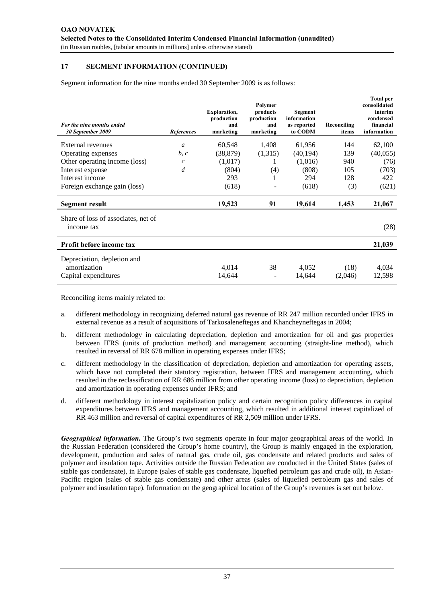Segment information for the nine months ended 30 September 2009 is as follows:

| For the nine months ended<br>30 September 2009                      | References     | <b>Exploration,</b><br>production<br>and<br>marketing | Polymer<br>products<br>production<br>and<br>marketing | Segment<br>information<br>as reported<br>to CODM | Reconciling<br>items | <b>Total per</b><br>consolidated<br>interim<br>condensed<br>financial<br>information |
|---------------------------------------------------------------------|----------------|-------------------------------------------------------|-------------------------------------------------------|--------------------------------------------------|----------------------|--------------------------------------------------------------------------------------|
| External revenues                                                   | $\mathfrak{a}$ | 60,548                                                | 1,408                                                 | 61,956                                           | 144                  | 62,100                                                                               |
| Operating expenses                                                  | b, c           | (38, 879)                                             | (1,315)                                               | (40, 194)                                        | 139                  | (40,055)                                                                             |
| Other operating income (loss)                                       | $\mathcal{C}$  | (1,017)                                               |                                                       | (1,016)                                          | 940                  | (76)                                                                                 |
| Interest expense                                                    | $\overline{d}$ | (804)                                                 | (4)                                                   | (808)                                            | 105                  | (703)                                                                                |
| Interest income                                                     |                | 293                                                   | 1                                                     | 294                                              | 128                  | 422                                                                                  |
| Foreign exchange gain (loss)                                        |                | (618)                                                 |                                                       | (618)                                            | (3)                  | (621)                                                                                |
| Segment result                                                      |                | 19,523                                                | 91                                                    | 19,614                                           | 1,453                | 21,067                                                                               |
| Share of loss of associates, net of<br>income tax                   |                |                                                       |                                                       |                                                  |                      | (28)                                                                                 |
| Profit before income tax                                            |                |                                                       |                                                       |                                                  |                      | 21,039                                                                               |
| Depreciation, depletion and<br>amortization<br>Capital expenditures |                | 4,014<br>14,644                                       | 38                                                    | 4,052<br>14,644                                  | (18)<br>(2,046)      | 4,034<br>12,598                                                                      |
|                                                                     |                |                                                       |                                                       |                                                  |                      |                                                                                      |

Reconciling items mainly related to:

- a. different methodology in recognizing deferred natural gas revenue of RR 247 million recorded under IFRS in external revenue as a result of acquisitions of Tarkosaleneftegas and Khancheyneftegas in 2004;
- b. different methodology in calculating depreciation, depletion and amortization for oil and gas properties between IFRS (units of production method) and management accounting (straight-line method), which resulted in reversal of RR 678 million in operating expenses under IFRS;
- c. different methodology in the classification of depreciation, depletion and amortization for operating assets, which have not completed their statutory registration, between IFRS and management accounting, which resulted in the reclassification of RR 686 million from other operating income (loss) to depreciation, depletion and amortization in operating expenses under IFRS; and
- d. different methodology in interest capitalization policy and certain recognition policy differences in capital expenditures between IFRS and management accounting, which resulted in additional interest capitalized of RR 463 million and reversal of capital expenditures of RR 2,509 million under IFRS.

*Geographical information.* The Group's two segments operate in four major geographical areas of the world. In the Russian Federation (considered the Group's home country), the Group is mainly engaged in the exploration, development, production and sales of natural gas, crude oil, gas condensate and related products and sales of polymer and insulation tape. Activities outside the Russian Federation are conducted in the United States (sales of stable gas condensate), in Europe (sales of stable gas condensate, liquefied petroleum gas and crude oil), in Asian-Pacific region (sales of stable gas condensate) and other areas (sales of liquefied petroleum gas and sales of polymer and insulation tape). Information on the geographical location of the Group's revenues is set out below.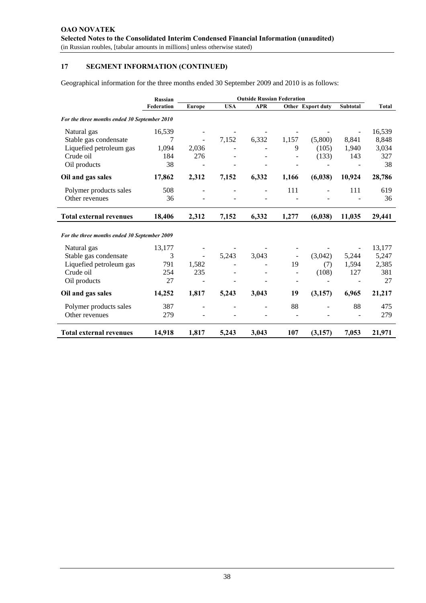Geographical information for the three months ended 30 September 2009 and 2010 is as follows:

|                                              | <b>Russian</b> | <b>Outside Russian Federation</b> |            |            |       |                          |                 |        |
|----------------------------------------------|----------------|-----------------------------------|------------|------------|-------|--------------------------|-----------------|--------|
|                                              | Federation     | Europe                            | <b>USA</b> | <b>APR</b> |       | <b>Other Export duty</b> | <b>Subtotal</b> | Total  |
| For the three months ended 30 September 2010 |                |                                   |            |            |       |                          |                 |        |
| Natural gas                                  | 16,539         |                                   |            |            |       |                          |                 | 16,539 |
| Stable gas condensate                        | 7              |                                   | 7,152      | 6,332      | 1,157 | (5,800)                  | 8,841           | 8,848  |
| Liquefied petroleum gas                      | 1,094          | 2,036                             |            |            | 9     | (105)                    | 1.940           | 3,034  |
| Crude oil                                    | 184            | 276                               |            |            |       | (133)                    | 143             | 327    |
| Oil products                                 | 38             |                                   |            |            |       |                          |                 | 38     |
| Oil and gas sales                            | 17,862         | 2,312                             | 7,152      | 6,332      | 1,166 | (6, 038)                 | 10,924          | 28,786 |
| Polymer products sales                       | 508            |                                   |            |            | 111   |                          | 111             | 619    |
| Other revenues                               | 36             |                                   |            |            |       |                          |                 | 36     |
| <b>Total external revenues</b>               | 18,406         | 2,312                             | 7,152      | 6,332      | 1,277 | (6, 038)                 | 11,035          | 29,441 |
| For the three months ended 30 September 2009 |                |                                   |            |            |       |                          |                 |        |
| Natural gas                                  | 13,177         |                                   |            |            |       |                          |                 | 13,177 |
| Stable gas condensate                        | 3              |                                   | 5,243      | 3,043      |       | (3,042)                  | 5,244           | 5,247  |
| Liquefied petroleum gas                      | 791            | 1,582                             |            |            | 19    | (7)                      | 1,594           | 2,385  |
| Crude oil                                    | 254            | 235                               |            |            |       | (108)                    | 127             | 381    |
| Oil products                                 | 27             |                                   |            |            |       |                          |                 | 27     |
| Oil and gas sales                            | 14,252         | 1,817                             | 5,243      | 3,043      | 19    | (3,157)                  | 6,965           | 21,217 |
| Polymer products sales                       | 387            |                                   |            |            | 88    |                          | 88              | 475    |
| Other revenues                               | 279            |                                   |            |            |       |                          |                 | 279    |
| <b>Total external revenues</b>               | 14,918         | 1,817                             | 5,243      | 3,043      | 107   | (3,157)                  | 7,053           | 21,971 |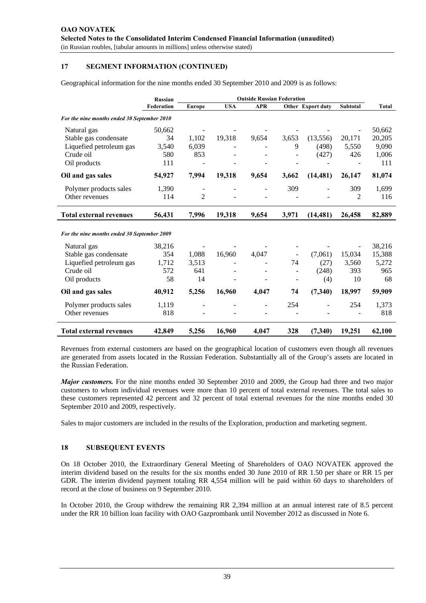Geographical information for the nine months ended 30 September 2010 and 2009 is as follows:

|                                             | <b>Russian</b> | <b>Outside Russian Federation</b> |            |            |       |                   |          |              |
|---------------------------------------------|----------------|-----------------------------------|------------|------------|-------|-------------------|----------|--------------|
|                                             | Federation     | <b>Europe</b>                     | <b>USA</b> | <b>APR</b> |       | Other Export duty | Subtotal | <b>Total</b> |
| For the nine months ended 30 September 2010 |                |                                   |            |            |       |                   |          |              |
| Natural gas                                 | 50,662         |                                   |            |            |       |                   |          | 50,662       |
| Stable gas condensate                       | 34             | 1,102                             | 19,318     | 9,654      | 3,653 | (13,556)          | 20,171   | 20,205       |
| Liquefied petroleum gas                     | 3,540          | 6,039                             |            |            | 9     | (498)             | 5,550    | 9,090        |
| Crude oil                                   | 580            | 853                               |            |            |       | (427)             | 426      | 1,006        |
| Oil products                                | 111            |                                   |            |            |       |                   |          | 111          |
| Oil and gas sales                           | 54,927         | 7,994                             | 19,318     | 9,654      | 3,662 | (14, 481)         | 26,147   | 81,074       |
| Polymer products sales                      | 1,390          |                                   |            |            | 309   |                   | 309      | 1,699        |
| Other revenues                              | 114            | 2                                 |            |            |       |                   | 2        | 116          |
| <b>Total external revenues</b>              | 56,431         | 7,996                             | 19,318     | 9,654      | 3,971 | (14, 481)         | 26,458   | 82,889       |
| For the nine months ended 30 September 2009 |                |                                   |            |            |       |                   |          |              |
| Natural gas                                 | 38,216         |                                   |            |            |       |                   |          | 38,216       |
| Stable gas condensate                       | 354            | 1,088                             | 16,960     | 4,047      |       | (7,061)           | 15,034   | 15,388       |
| Liquefied petroleum gas                     | 1,712          | 3,513                             |            |            | 74    | (27)              | 3,560    | 5,272        |
| Crude oil                                   | 572            | 641                               |            |            |       | (248)             | 393      | 965          |
| Oil products                                | 58             | 14                                |            |            |       | (4)               | 10       | 68           |
| Oil and gas sales                           | 40,912         | 5,256                             | 16,960     | 4,047      | 74    | (7,340)           | 18,997   | 59,909       |
| Polymer products sales                      | 1,119          |                                   |            |            | 254   |                   | 254      | 1,373        |
| Other revenues                              | 818            |                                   |            |            |       |                   |          | 818          |
| <b>Total external revenues</b>              | 42,849         | 5,256                             | 16,960     | 4,047      | 328   | (7,340)           | 19,251   | 62,100       |

Revenues from external customers are based on the geographical location of customers even though all revenues are generated from assets located in the Russian Federation. Substantially all of the Group's assets are located in the Russian Federation.

*Major customers.* For the nine months ended 30 September 2010 and 2009, the Group had three and two major customers to whom individual revenues were more than 10 percent of total external revenues. The total sales to these customers represented 42 percent and 32 percent of total external revenues for the nine months ended 30 September 2010 and 2009, respectively.

Sales to major customers are included in the results of the Exploration, production and marketing segment.

#### **18 SUBSEQUENT EVENTS**

On 18 October 2010, the Extraordinary General Meeting of Shareholders of OAO NOVATEK approved the interim dividend based on the results for the six months ended 30 June 2010 of RR 1.50 per share or RR 15 per GDR. The interim dividend payment totaling RR 4,554 million will be paid within 60 days to shareholders of record at the close of business on 9 September 2010.

In October 2010, the Group withdrew the remaining RR 2,394 million at an annual interest rate of 8.5 percent under the RR 10 billion loan facility with OAO Gazprombank until November 2012 as discussed in Note 6.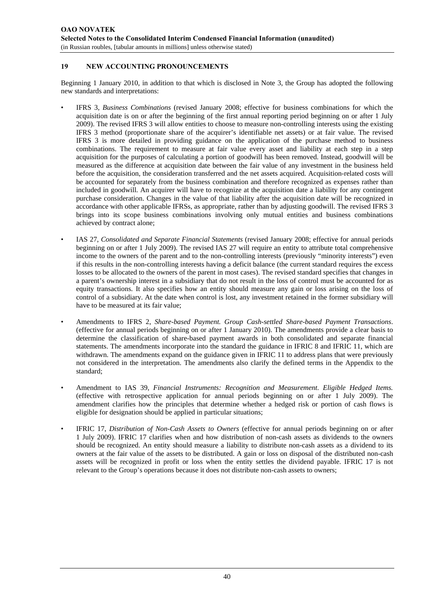# **19 NEW ACCOUNTING PRONOUNCEMENTS**

Beginning 1 January 2010, in addition to that which is disclosed in Note 3, the Group has adopted the following new standards and interpretations:

- IFRS 3, *Business Combinations* (revised January 2008; effective for business combinations for which the acquisition date is on or after the beginning of the first annual reporting period beginning on or after 1 July 2009). The revised IFRS 3 will allow entities to choose to measure non-controlling interests using the existing IFRS 3 method (proportionate share of the acquirer's identifiable net assets) or at fair value. The revised IFRS 3 is more detailed in providing guidance on the application of the purchase method to business combinations. The requirement to measure at fair value every asset and liability at each step in a step acquisition for the purposes of calculating a portion of goodwill has been removed. Instead, goodwill will be measured as the difference at acquisition date between the fair value of any investment in the business held before the acquisition, the consideration transferred and the net assets acquired. Acquisition-related costs will be accounted for separately from the business combination and therefore recognized as expenses rather than included in goodwill. An acquirer will have to recognize at the acquisition date a liability for any contingent purchase consideration. Changes in the value of that liability after the acquisition date will be recognized in accordance with other applicable IFRSs, as appropriate, rather than by adjusting goodwill. The revised IFRS 3 brings into its scope business combinations involving only mutual entities and business combinations achieved by contract alone;
- IAS 27, *Consolidated and Separate Financial Statements* (revised January 2008; effective for annual periods beginning on or after 1 July 2009). The revised IAS 27 will require an entity to attribute total comprehensive income to the owners of the parent and to the non-controlling interests (previously "minority interests") even if this results in the non-controlling interests having a deficit balance (the current standard requires the excess losses to be allocated to the owners of the parent in most cases). The revised standard specifies that changes in a parent's ownership interest in a subsidiary that do not result in the loss of control must be accounted for as equity transactions. It also specifies how an entity should measure any gain or loss arising on the loss of control of a subsidiary. At the date when control is lost, any investment retained in the former subsidiary will have to be measured at its fair value;
- Amendments to IFRS 2, *Share-based Payment. Group Cash-settled Share-based Payment Transactions*. (effective for annual periods beginning on or after 1 January 2010). The amendments provide a clear basis to determine the classification of share-based payment awards in both consolidated and separate financial statements. The amendments incorporate into the standard the guidance in IFRIC 8 and IFRIC 11, which are withdrawn. The amendments expand on the guidance given in IFRIC 11 to address plans that were previously not considered in the interpretation. The amendments also clarify the defined terms in the Appendix to the standard;
- Amendment to IAS 39, *Financial Instruments: Recognition and Measurement*. *Eligible Hedged Items.* (effective with retrospective application for annual periods beginning on or after 1 July 2009). The amendment clarifies how the principles that determine whether a hedged risk or portion of cash flows is eligible for designation should be applied in particular situations;
- IFRIC 17, *Distribution of Non-Cash Assets to Owners* (effective for annual periods beginning on or after 1 July 2009). IFRIC 17 clarifies when and how distribution of non-cash assets as dividends to the owners should be recognized. An entity should measure a liability to distribute non-cash assets as a dividend to its owners at the fair value of the assets to be distributed. A gain or loss on disposal of the distributed non-cash assets will be recognized in profit or loss when the entity settles the dividend payable. IFRIC 17 is not relevant to the Group's operations because it does not distribute non-cash assets to owners;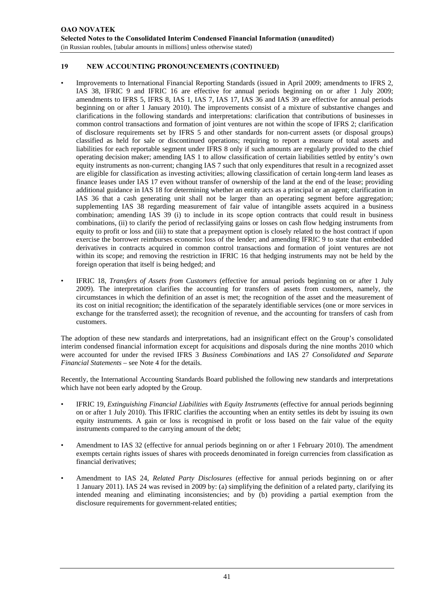# **19 NEW ACCOUNTING PRONOUNCEMENTS (CONTINUED)**

- Improvements to International Financial Reporting Standards (issued in April 2009; amendments to IFRS 2, IAS 38, IFRIC 9 and IFRIC 16 are effective for annual periods beginning on or after 1 July 2009; amendments to IFRS 5, IFRS 8, IAS 1, IAS 7, IAS 17, IAS 36 and IAS 39 are effective for annual periods beginning on or after 1 January 2010). The improvements consist of a mixture of substantive changes and clarifications in the following standards and interpretations: clarification that contributions of businesses in common control transactions and formation of joint ventures are not within the scope of IFRS 2; clarification of disclosure requirements set by IFRS 5 and other standards for non-current assets (or disposal groups) classified as held for sale or discontinued operations; requiring to report a measure of total assets and liabilities for each reportable segment under IFRS 8 only if such amounts are regularly provided to the chief operating decision maker; amending IAS 1 to allow classification of certain liabilities settled by entity's own equity instruments as non-current; changing IAS 7 such that only expenditures that result in a recognized asset are eligible for classification as investing activities; allowing classification of certain long-term land leases as finance leases under IAS 17 even without transfer of ownership of the land at the end of the lease; providing additional guidance in IAS 18 for determining whether an entity acts as a principal or an agent; clarification in IAS 36 that a cash generating unit shall not be larger than an operating segment before aggregation; supplementing IAS 38 regarding measurement of fair value of intangible assets acquired in a business combination; amending IAS 39 (i) to include in its scope option contracts that could result in business combinations, (ii) to clarify the period of reclassifying gains or losses on cash flow hedging instruments from equity to profit or loss and (iii) to state that a prepayment option is closely related to the host contract if upon exercise the borrower reimburses economic loss of the lender; and amending IFRIC 9 to state that embedded derivatives in contracts acquired in common control transactions and formation of joint ventures are not within its scope; and removing the restriction in IFRIC 16 that hedging instruments may not be held by the foreign operation that itself is being hedged; and
- IFRIC 18, *Transfers of Assets from Customers* (effective for annual periods beginning on or after 1 July 2009). The interpretation clarifies the accounting for transfers of assets from customers, namely, the circumstances in which the definition of an asset is met; the recognition of the asset and the measurement of its cost on initial recognition; the identification of the separately identifiable services (one or more services in exchange for the transferred asset); the recognition of revenue, and the accounting for transfers of cash from customers.

The adoption of these new standards and interpretations, had an insignificant effect on the Group's consolidated interim condensed financial information except for acquisitions and disposals during the nine months 2010 which were accounted for under the revised IFRS 3 *Business Combinations* and IAS 27 *Consolidated and Separate Financial Statements* – see Note 4 for the details.

Recently, the International Accounting Standards Board published the following new standards and interpretations which have not been early adopted by the Group.

- IFRIC 19, *Extinguishing Financial Liabilities with Equity Instruments* (effective for annual periods beginning on or after 1 July 2010). This IFRIC clarifies the accounting when an entity settles its debt by issuing its own equity instruments. A gain or loss is recognised in profit or loss based on the fair value of the equity instruments compared to the carrying amount of the debt;
- Amendment to IAS 32 (effective for annual periods beginning on or after 1 February 2010). The amendment exempts certain rights issues of shares with proceeds denominated in foreign currencies from classification as financial derivatives;
- Amendment to IAS 24, *Related Party Disclosures* (effective for annual periods beginning on or after 1 January 2011). IAS 24 was revised in 2009 by: (a) simplifying the definition of a related party, clarifying its intended meaning and eliminating inconsistencies; and by (b) providing a partial exemption from the disclosure requirements for government-related entities;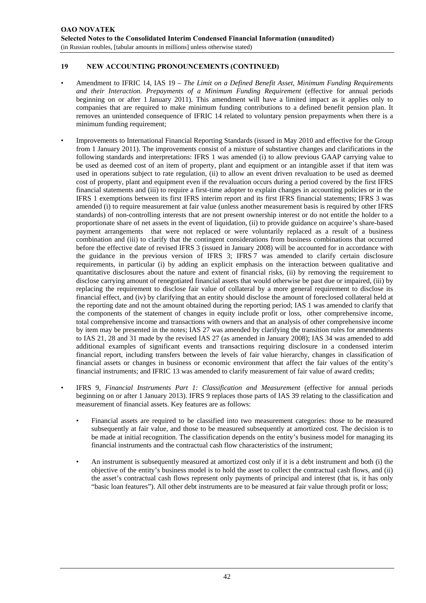# **19 NEW ACCOUNTING PRONOUNCEMENTS (CONTINUED)**

- Amendment to IFRIC 14, IAS 19 *The Limit on a Defined Benefit Asset, Minimum Funding Requirements and their Interaction*. *Prepayments of a Minimum Funding Requirement* (effective for annual periods beginning on or after 1 January 2011). This amendment will have a limited impact as it applies only to companies that are required to make minimum funding contributions to a defined benefit pension plan. It removes an unintended consequence of IFRIC 14 related to voluntary pension prepayments when there is a minimum funding requirement;
- Improvements to International Financial Reporting Standards (issued in May 2010 and effective for the Group from 1 January 2011). The improvements consist of a mixture of substantive changes and clarifications in the following standards and interpretations: IFRS 1 was amended (i) to allow previous GAAP carrying value to be used as deemed cost of an item of property, plant and equipment or an intangible asset if that item was used in operations subject to rate regulation, (ii) to allow an event driven revaluation to be used as deemed cost of property, plant and equipment even if the revaluation occurs during a period covered by the first IFRS financial statements and (iii) to require a first-time adopter to explain changes in accounting policies or in the IFRS 1 exemptions between its first IFRS interim report and its first IFRS financial statements; IFRS 3 was amended (i) to require measurement at fair value (unless another measurement basis is required by other IFRS standards) of non-controlling interests that are not present ownership interest or do not entitle the holder to a proportionate share of net assets in the event of liquidation, (ii) to provide guidance on acquiree's share-based payment arrangements that were not replaced or were voluntarily replaced as a result of a business combination and (iii) to clarify that the contingent considerations from business combinations that occurred before the effective date of revised IFRS 3 (issued in January 2008) will be accounted for in accordance with the guidance in the previous version of IFRS 3; IFRS 7 was amended to clarify certain disclosure requirements, in particular (i) by adding an explicit emphasis on the interaction between qualitative and quantitative disclosures about the nature and extent of financial risks, (ii) by removing the requirement to disclose carrying amount of renegotiated financial assets that would otherwise be past due or impaired, (iii) by replacing the requirement to disclose fair value of collateral by a more general requirement to disclose its financial effect, and (iv) by clarifying that an entity should disclose the amount of foreclosed collateral held at the reporting date and not the amount obtained during the reporting period; IAS 1 was amended to clarify that the components of the statement of changes in equity include profit or loss, other comprehensive income, total comprehensive income and transactions with owners and that an analysis of other comprehensive income by item may be presented in the notes; IAS 27 was amended by clarifying the transition rules for amendments to IAS 21, 28 and 31 made by the revised IAS 27 (as amended in January 2008); IAS 34 was amended to add additional examples of significant events and transactions requiring disclosure in a condensed interim financial report, including transfers between the levels of fair value hierarchy, changes in classification of financial assets or changes in business or economic environment that affect the fair values of the entity's financial instruments; and IFRIC 13 was amended to clarify measurement of fair value of award credits;
- IFRS 9, *Financial Instruments Part 1: Classification and Measurement* (effective for annual periods beginning on or after 1 January 2013). IFRS 9 replaces those parts of IAS 39 relating to the classification and measurement of financial assets. Key features are as follows:
	- Financial assets are required to be classified into two measurement categories: those to be measured subsequently at fair value, and those to be measured subsequently at amortized cost. The decision is to be made at initial recognition. The classification depends on the entity's business model for managing its financial instruments and the contractual cash flow characteristics of the instrument;
	- An instrument is subsequently measured at amortized cost only if it is a debt instrument and both (i) the objective of the entity's business model is to hold the asset to collect the contractual cash flows, and (ii) the asset's contractual cash flows represent only payments of principal and interest (that is, it has only "basic loan features"). All other debt instruments are to be measured at fair value through profit or loss;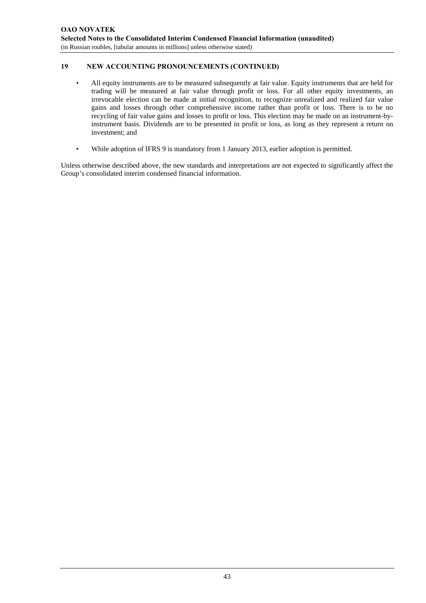# **19 NEW ACCOUNTING PRONOUNCEMENTS (CONTINUED)**

- All equity instruments are to be measured subsequently at fair value. Equity instruments that are held for trading will be measured at fair value through profit or loss. For all other equity investments, an irrevocable election can be made at initial recognition, to recognize unrealized and realized fair value gains and losses through other comprehensive income rather than profit or loss. There is to be no recycling of fair value gains and losses to profit or loss. This election may be made on an instrument-byinstrument basis. Dividends are to be presented in profit or loss, as long as they represent a return on investment; and
- While adoption of IFRS 9 is mandatory from 1 January 2013, earlier adoption is permitted.

Unless otherwise described above, the new standards and interpretations are not expected to significantly affect the Group's consolidated interim condensed financial information.